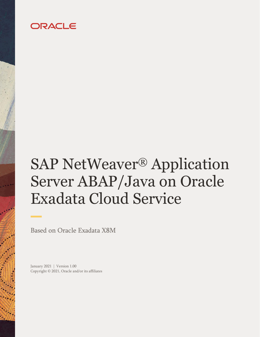## ORACLE

# SAP NetWeaver® Application Server ABAP/Java on Oracle Exadata Cloud Service

Based on Oracle Exadata X8M

January 2021 | Version 1.00 Copyright © 2021, Oracle and/or its affiliates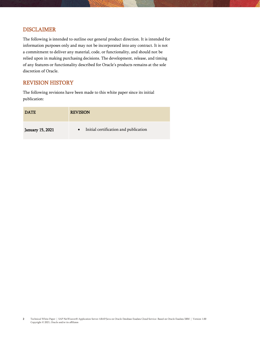## <span id="page-1-0"></span>DISCLAIMER

The following is intended to outline our general product direction. It is intended for information purposes only and may not be incorporated into any contract. It is not a commitment to deliver any material, code, or functionality, and should not be relied upon in making purchasing decisions. The development, release, and timing of any features or functionality described for Oracle's products remains at the sole discretion of Oracle.

## <span id="page-1-1"></span>REVISION HISTORY

The following revisions have been made to this white paper since its initial publication:

| <b>DATE</b>             | <b>REVISION</b>                       |
|-------------------------|---------------------------------------|
| <b>January 15, 2021</b> | Initial certification and publication |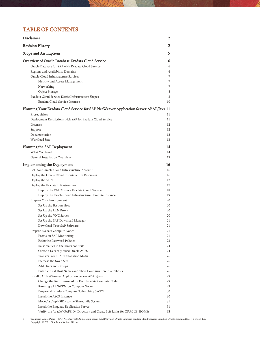## TABLE OF CONTENTS

| Disclaimer                                                                             | 2  |
|----------------------------------------------------------------------------------------|----|
| <b>Revision History</b>                                                                | 2  |
| Scope and Assumptions                                                                  | 5  |
| Overview of Oracle Database Exadata Cloud Service                                      | 6  |
| Oracle Database for SAP with Exadata Cloud Service                                     | 6  |
| Regions and Availability Domains                                                       | 6  |
| Oracle Cloud Infrastructure Services                                                   | 7  |
| Identity and Access Management                                                         | 7  |
| Networking                                                                             | 7  |
| Object Storage                                                                         | 8  |
| Exadata Cloud Service Elastic Infrastructure Shapes                                    | 8  |
| Exadata Cloud Service Licenses                                                         | 10 |
| Planning Your Exadata Cloud Service for SAP NetWeaver Application Server ABAP/Java 11  |    |
| Prerequisites                                                                          | 11 |
| Deployment Restrictions with SAP for Exadata Cloud Service                             | 11 |
| Licenses                                                                               | 12 |
| Support                                                                                | 12 |
| Documentation                                                                          | 12 |
| Workload Size                                                                          | 13 |
| Planning the SAP Deployment                                                            | 14 |
| What You Need                                                                          | 14 |
| General Installation Overview                                                          | 15 |
| <b>Implementing the Deployment</b>                                                     | 16 |
| Get Your Oracle Cloud Infrastructure Account                                           | 16 |
| Deploy the Oracle Cloud Infrastructure Resources                                       | 16 |
| Deploy the VCN                                                                         | 17 |
| Deploy the Exadata Infrastructure                                                      | 17 |
| Deploy the VM Cluster - Exadata Cloud Service                                          | 18 |
| Deploy the Oracle Cloud Infrastructure Compute Instance                                | 19 |
| Prepare Your Environment                                                               | 20 |
| Set Up the Bastion Host                                                                | 20 |
| Set Up the ULN Proxy                                                                   | 20 |
| Set Up the VNC Server                                                                  | 20 |
| Set Up the SAP Download Manager                                                        | 21 |
| Download Your SAP Software                                                             | 21 |
| Prepare Exadata Compute Nodes                                                          | 21 |
| Provision SAP Monitoring                                                               | 21 |
| Relax the Password Policies                                                            | 23 |
| Raise Values in the limits.conf File                                                   | 24 |
| Create a Decently Sized Oracle ACFS                                                    | 24 |
| Transfer Your SAP Installation Media                                                   | 26 |
| Increase the Swap Size                                                                 | 26 |
| Add Users and Groups                                                                   | 26 |
| Enter Virtual Host Names and Their Configuration in /etc/hosts                         | 26 |
| Install SAP NetWeaver Application Server ABAP/Java                                     | 29 |
| Change the Root Password on Each Exadata Compute Node                                  | 29 |
| Running SAP SWPM on Compute Nodes                                                      | 29 |
| Prepare all Exadata Compute Nodes Using SWPM                                           | 30 |
| Install the ASCS Instance                                                              | 30 |
| Move /usr/sap/ <sid> to the Shared File System</sid>                                   | 31 |
| Install the Enqueue Replication Server                                                 | 31 |
| Verify the /oracle/ <sapsid> Directory and Create Soft Links for ORACLE_HOMEs</sapsid> | 33 |

 $3$  Technical White Paper | SAP NetWeaver® Application Server ABAP/Java on Oracle Database Exadata Cloud Service: Based on Oracle Exadata X8M | Version 1.00 Copyright © 2021, Oracle and/or its affiliates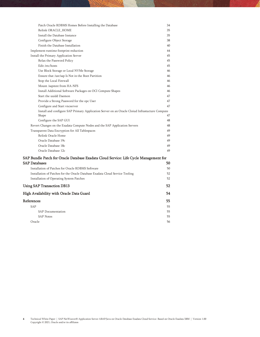| Patch Oracle RDBMS Homes Before Installing the Database                                                 | 34 |
|---------------------------------------------------------------------------------------------------------|----|
| Relink ORACLE HOME                                                                                      | 35 |
| Install the Database Instance                                                                           | 35 |
| Configure Object Storage                                                                                | 38 |
| Finish the Database Installation                                                                        | 40 |
| Implement runtime footprint reduction                                                                   | 44 |
| Install the Primary Application Server                                                                  | 45 |
| Relax the Password Policy                                                                               | 45 |
| Edit /etc/hosts                                                                                         | 45 |
| Use Block Storage or Local NVMe Storage                                                                 | 46 |
| Ensure that /usr/sap Is Not in the Boot Partition                                                       | 46 |
| Stop the Local Firewall                                                                                 | 46 |
| Mount /sapmnt from HA-NFS                                                                               | 46 |
| Install Additional Software Packages on OCI Compute Shapes                                              | 46 |
| Start the uuidd Daemon                                                                                  | 47 |
| Provide a Strong Password for the opc User                                                              | 47 |
| Configure and Start vncserver                                                                           | 47 |
| Install and configure SAP Primary Application Server on an Oracle Cloiud Infrastucture Compute<br>Shape | 47 |
| Configure the SAP GUI                                                                                   | 48 |
| Revert Changes on the Exadata Compute Nodes and the SAP Application Servers                             | 48 |
| Transparent Data Encryption for All Tablespaces                                                         | 49 |
| Relink Oracle Home                                                                                      | 49 |
| Oracle Database 19c                                                                                     | 49 |
| Oracle Database 18c                                                                                     | 49 |
| Oracle Database 12c                                                                                     | 49 |
| SAP Bundle Patch for Oracle Database Exadata Cloud Service: Life Cycle Management for                   |    |
| SAP Databases                                                                                           | 50 |
| Installation of Patches for Oracle RDBMS Software                                                       | 50 |
| Installation of Patches for the Oracle Database Exadata Cloud Service Tooling                           | 52 |
| Installation of Operating System Patches                                                                | 52 |
| <b>Using SAP Transaction DB13</b>                                                                       | 52 |
| High Availability with Oracle Data Guard                                                                | 54 |
| References                                                                                              | 55 |
| <b>SAP</b>                                                                                              | 55 |
| <b>SAP Documentation</b>                                                                                | 55 |
| <b>SAP Notes</b>                                                                                        | 55 |
| Oracle                                                                                                  | 56 |
|                                                                                                         |    |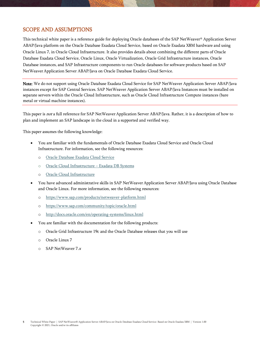## <span id="page-4-0"></span>SCOPE AND ASSUMPTIONS

This technical white paper is a reference guide for deploying Oracle databases of the SAP NetWeaver® Application Server ABAP/Java platform on the Oracle Database Exadata Cloud Service, based on Oracle Exadata X8M hardware and using Oracle Linux 7, in Oracle Cloud Infrastructure. It also provides details about combining the different parts of Oracle Database Exadata Cloud Service, Oracle Linux, Oracle Virtualization, Oracle Grid Infrastructure instances, Oracle Database instances, and SAP Infrastructure components to run Oracle databases for software products based on SAP NetWeaver Application Server ABAP/Java on Oracle Database Exadata Cloud Service.

Note: We do not support using Oracle Database Exadata Cloud Service for SAP NetWeaver Application Server ABAP/Java instances except for SAP Central Services. SAP NetWeaver Application Server ABAP/Java Instances must be installed on separate servers within the Oracle Cloud Infrastructure, such as Oracle Cloud Infrastructure Compute instances (bare metal or virtual machine instances).

This paper is not a full reference for SAP NetWeaver Application Server ABAP/Java. Rather, it is a description of how to plan and implement an SAP landscape in the cloud in a supported and verified way.

This paper assumes the following knowledge:

- You are familiar with the fundamentals of Oracle Database Exadata Cloud Service and Oracle Cloud Infrastructure. For information, see the following resources:
	- o Oracle [Database Exadata Cloud Service](https://docs.oracle.com/en/cloud/paas/exadata-cloud/index.html)
	- o [Oracle Cloud Infrastructure](https://docs.cloud.oracle.com/iaas/Content/Database/Concepts/exaoverview.htm)  Exadata DB Systems
	- o [Oracle Cloud Infrastructure](https://docs.cloud.oracle.com/iaas/Content/GSG/Concepts/baremetalintro.htm)
- You have advanced administrative skills in SAP NetWeaver Application Server ABAP/Java using Oracle Database and Oracle Linux. For more information, see the following resources:
	- o <https://www.sap.com/products/netweaver-platform.html>
	- o <https://www.sap.com/community/topic/oracle.html>
	- o <http://docs.oracle.com/en/operating-systems/linux.html>
- You are familiar with the documentation for the following products:
	- o Oracle Grid Infrastructure 19c and the Oracle Database releases that you will use
	- o Oracle Linux 7
	- o SAP NetWeaver 7.<sup>x</sup>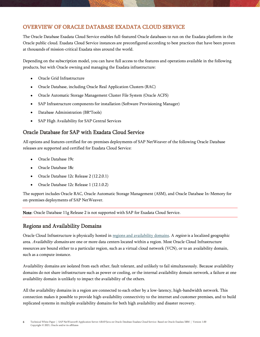## <span id="page-5-0"></span>OVERVIEW OF ORACLE DATABASE EXADATA CLOUD SERVICE

The Oracle Database Exadata Cloud Service enables full-featured Oracle databases to run on the Exadata platform in the Oracle public cloud. Exadata Cloud Service instances are preconfigured according to best practices that have been proven at thousands of mission-critical Exadata sites around the world.

Depending on the subscription model, you can have full access to the features and operations available in the following products, but with Oracle owning and managing the Exadata infrastructure:

- Oracle Grid Infrastructure
- Oracle Database, including Oracle Real Application Clusters (RAC)
- Oracle Automatic Storage Management Cluster File System (Oracle ACFS)
- SAP Infrastructure components for installation (Software Provisioning Manager)
- Database Administration (BR\*Tools)
- SAP High Availability for SAP Central Services

## <span id="page-5-1"></span>Oracle Database for SAP with Exadata Cloud Service

All options and features certified for on-premises deployments of SAP NetWeaver of the following Oracle Database releases are supported and certified for Exadata Cloud Service:

- Oracle Database 19c
- Oracle Database 18c
- Oracle Database 12c Release 2 (12.2.0.1)
- Oracle Database 12c Release 1 (12.1.0.2)

The support includes Oracle RAC, Oracle Automatic Storage Management (ASM), and Oracle Database In-Memory for on-premises deployments of SAP NetWeaver.

Note: Oracle Database 11g Release 2 is not supported with SAP for Exadata Cloud Service.

## <span id="page-5-2"></span>Regions and Availability Domains

Oracle Cloud Infrastructure is physically hosted in [regions and availability domains.](https://docs.cloud.oracle.com/iaas/Content/General/Concepts/regions.htm) A *region* is a localized geographic area. Availability domains are one or more data centers located within a region. Most Oracle Cloud Infrastructure resources are bound either to a particular region, such as a virtual cloud network (VCN), or to an availability domain, such as a compute instance.

Availability domains are isolated from each other, fault tolerant, and unlikely to fail simultaneously. Because availability domains do not share infrastructure such as power or cooling, or the internal availability domain network, a failure at one availability domain is unlikely to impact the availability of the others.

All the availability domains in a region are connected to each other by a low-latency, high-bandwidth network. This connection makes it possible to provide high-availability connectivity to the internet and customer premises, and to build replicated systems in multiple availability domains for both high availability and disaster recovery.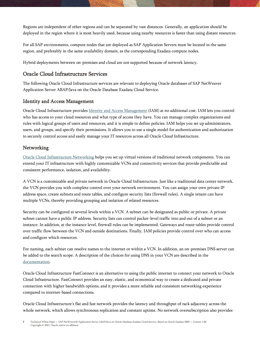Regions are independent of other regions and can be separated by vast distances. Generally, an application should be deployed in the region where it is most heavily used, because using nearby resources is faster than using distant resources.

For all SAP environments, compute nodes that are deployed as SAP Application Servers must be located in the same region, and preferably in the same availability domain, as the corresponding Exadata compute nodes.

Hybrid deployments between on-premises and cloud are not supported because of network latency.

## <span id="page-6-0"></span>Oracle Cloud Infrastructure Services

The following Oracle Cloud Infrastructure services are relevant to deploying Oracle databases of SAP NetWeaver Application Server ABAP/Java on the Oracle Database Exadata Cloud Service.

## <span id="page-6-1"></span>Identity and Access Management

Oracle Cloud Infrastructure provides [Identity and Access Management](https://docs.cloud.oracle.com/iaas/Content/Identity/Concepts/overview.htm) (IAM) at no additional cost. IAM lets you control who has access to your cloud resources and what type of access they have. You can manage complex organizations and rules with logical groups of users and resources, and it is simple to define policies. IAM helps you set up administrators, users, and groups, and specify their permissions. It allows you to use a single model for authentication and authorization to securely control access and easily manage your IT resources across all Oracle Cloud Infrastructure.

## <span id="page-6-2"></span>**Networking**

[Oracle Cloud Infrastructure Networking](https://docs.cloud.oracle.com/iaas/Content/Network/Concepts/overview.htm) helps you set up virtual versions of traditional network components. You can extend your IT infrastructure with highly customizable VCNs and connectivity services that provide predictable and consistent performance, isolation, and availability.

A VCN is a customizable and private network in Oracle Cloud Infrastructure. Just like a traditional data center network, the VCN provides you with complete control over your network environment. You can assign your own private IP address space, create subnets and route tables, and configure security lists (firewall rules). A single tenant can have multiple VCNs, thereby providing grouping and isolation of related resources.

Security can be configured at several levels within a VCN. A subnet can be designated as public or private. A private subnet cannot have a public IP address. Security lists can control packet-level traffic into and out of a subnet or an instance. In addition, at the instance level, firewall rules can be implemented. Gateways and route tables provide control over traffic flow between the VCN and outside destinations. Finally, IAM policies provide control over who can access and configure which resources.

For naming, each subnet can resolve names to the internet or within a VCN. In addition, an on-premises DNS server can be added to the search scope. A description of the choices for using DNS in your VCN are described in the [documentation.](https://docs.cloud.oracle.com/iaas/Content/Network/Concepts/dns.htm)

Oracle Cloud Infrastructure FastConnect is an alternative to using the public internet to connect your network to Oracle Cloud Infrastructure. FastConnect provides an easy, elastic, and economical way to create a dedicated and private connection with higher bandwidth options, and it provides a more reliable and consistent networking experience compared to internet-based connections.

Oracle Cloud Infrastructure's flat and fast network provides the latency and throughput of rack adjacency across the whole network, which allows synchronous replication and constant uptime. No network oversubscription also provides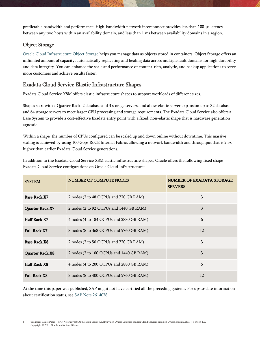predictable bandwidth and performance. High-bandwidth network interconnect provides less than 100-µs latency between any two hosts within an availability domain, and less than 1 ms between availability domains in a region.

## <span id="page-7-0"></span>Object Storage

[Oracle Cloud Infrastructure Object Storage](https://docs.cloud.oracle.com/iaas/Content/Object/Concepts/objectstorageoverview.htm) helps you manage data as objects stored in containers. Object Storage offers an unlimited amount of capacity, automatically replicating and healing data across multiple fault domains for high durability and data integrity. You can enhance the scale and performance of content-rich, analytic, and backup applications to serve more customers and achieve results faster.

## <span id="page-7-1"></span>Exadata Cloud Service Elastic Infrastructure Shapes

Exadata Cloud Service X8M offers elastic infrastructure shapes to support workloads of different sizes.

Shapes start with a Quarter Rack, 2 database and 3 storage servers, and allow elastic server expansion up to 32 database and 64 storage servers to meet larger CPU processing and storage requirements. The Exadata Cloud Service also offers a Base System to provide a cost-effective Exadata entry point with a fixed, non-elastic shape that is hardware generation agnostic.

Within a shape the number of CPUs configured can be scaled up and down online without downtime. This massive scaling is achieved by using 100 Gbps RoCE Internal Fabric, allowing a network bandwidth and throughput that is 2.5x higher than earlier Exadata Cloud Service generations.

In addition to the Exadata Cloud Service X8M elastic infrastructure shapes, Oracle offers the following fixed shape Exadata Cloud Service configurations on Oracle Cloud Infrastructure:

| <b>SYSTEM</b>          | NUMBER OF COMPUTE NODES                  | NUMBER OF EXADATA STORAGE<br><b>SERVERS</b> |
|------------------------|------------------------------------------|---------------------------------------------|
| Base Rack X7           | 2 nodes (2 to 48 OCPUs and 720 GB RAM)   | 3                                           |
| Quarter Rack X7        | 2 nodes (2 to 92 OCPUs and 1440 GB RAM)  | 3                                           |
| Half Rack X7           | 4 nodes (4 to 184 OCPUs and 2880 GB RAM) | 6                                           |
| <b>Full Rack X7</b>    | 8 nodes (8 to 368 OCPUs and 5760 GB RAM) | 12                                          |
| <b>Base Rack X8</b>    | 2 nodes (2 to 50 OCPUs and 720 GB RAM)   | 3                                           |
| <b>Quarter Rack X8</b> | 2 nodes (2 to 100 OCPUs and 1440 GB RAM) | 3                                           |
| <b>Half Rack X8</b>    | 4 nodes (4 to 200 OCPUs and 2880 GB RAM) | 6                                           |
| <b>Full Rack X8</b>    | 8 nodes (8 to 400 OCPUs and 5760 GB RAM) | 12                                          |

At the time this paper was published, SAP might not have certified all the preceding systems. For up-to-date information about certification status, se[e SAP Note 2614028.](https://launchpad.support.sap.com/#/notes/2614028)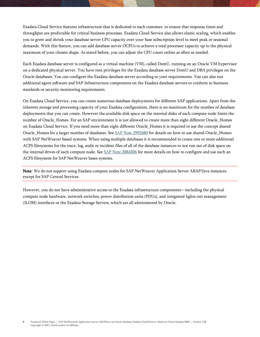Exadata Cloud Service features infrastructure that is dedicated to each customer, to ensure that response times and throughput are predictable for critical business processes. Exadata Cloud Service also allows elastic scaling, which enables you to grow and shrink your database server CPU capacity over your base subscription level to meet peak or seasonal demands. With this feature, you can add database server OCPUs to achieve a total processor capacity up to the physical maximum of your chosen shape. As stated before, you can adjust the CPU count online as often as needed.

Each Exadata database server is configured as a virtual machine (VM), called DomU, running on an Oracle VM hypervisor on a dedicated physical server. You have root privileges for the Exadata database server DomU and DBA privileges on the Oracle databases. You can configure the Exadata database server according to your requirements. You can also run additional agent software and SAP Infrastructure components on the Exadata database servers to conform to business standards or security monitoring requirements.

On Exadata Cloud Service, you can create numerous database deployments for different SAP applications. Apart from the inherent storage and processing capacity of your Exadata configuration, there is no maximum for the number of database deployments that you can create. However the available disk space on the internal disks of each compute node limits the number of Oracle Homes. For an SAP environment it is not allowed to create more than eight different Oracle Homes on Exadata Cloud Service. If you need more than eight different Oracle\_Homes it is required to use the concept shared Oracle\_Homes for a larger number of databases. Se[e SAP Note 2992680](https://launchpad.support.sap.com/#/notes/2992680) for details on how to use shared Oracle\_Homes with SAP NetWeaver based systems. When using multiple databases it is recommended to create one or more additional ACFS filesystems for the trace, log, audit or incident files of all of the database instances to not run out of disk space on the internal drives of each compute node. Se[e SAP Note 2884306](https://launchpad.support.sap.com/#/notes/2884306) for more details on how to configure and use such an ACFS filesystem for SAP NetWeaver bases systems.

Note: We do not support using Exadata compute nodes for SAP NetWeaver Application Server ABAP/Java instances except for SAP Central Services.

However, you do not have administrative access to the Exadata infrastructure components—including the physical compute node hardware, network switches, power distribution units (PDUs), and integrated lights-out management (ILOM) interfaces or the Exadata Storage Servers, which are all administered by Oracle.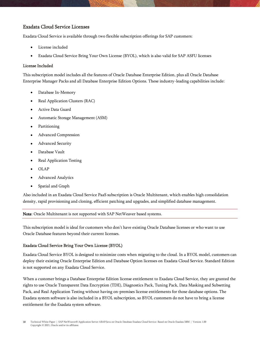## <span id="page-9-0"></span>Exadata Cloud Service Licenses

Exadata Cloud Service is available through two flexible subscription offerings for SAP customers:

- License included
- Exadata Cloud Service Bring Your Own License (BYOL), which is also valid for SAP ASFU licenses

#### License Included

This subscription model includes all the features of Oracle Database Enterprise Edition, plus all Oracle Database Enterprise Manager Packs and all Database Enterprise Edition Options. These industry-leading capabilities include:

- Database In-Memory
- Real Application Clusters (RAC)
- Active Data Guard
- Automatic Storage Management (ASM)
- Partitioning
- Advanced Compression
- Advanced Security
- Database Vault
- Real Application Testing
- OLAP
- Advanced Analytics
- Spatial and Graph

Also included in an Exadata Cloud Service PaaS subscription is Oracle Multitenant, which enables high consolidation density, rapid provisioning and cloning, efficient patching and upgrades, and simplified database management.

Note: Oracle Multitenant is not supported with SAP NetWeaver based systems.

This subscription model is ideal for customers who don't have existing Oracle Database licenses or who want to use Oracle Database features beyond their current licenses.

#### Exadata Cloud Service Bring Your Own License (BYOL)

Exadata Cloud Service BYOL is designed to minimize costs when migrating to the cloud. In a BYOL model, customers can deploy their existing Oracle Enterprise Edition and Database Option licenses on Exadata Cloud Service. Standard Edition is not supported on any Exadata Cloud Service.

When a customer brings a Database Enterprise Edition license entitlement to Exadata Cloud Service, they are granted the rights to use Oracle Transparent Data Encryption (TDE), Diagnostics Pack, Tuning Pack, Data Masking and Subsetting Pack, and Real Application Testing without having on-premises license entitlements for those database options. The Exadata system software is also included in a BYOL subscription, so BYOL customers do not have to bring a license entitlement for the Exadata system software.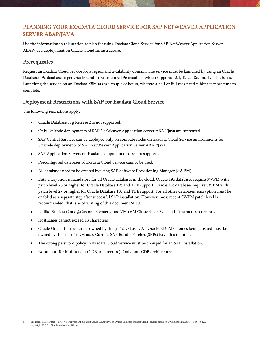## <span id="page-10-0"></span>PLANNING YOUR EXADATA CLOUD SERVICE FOR SAP NETWEAVER APPLICATION SERVER ABAP/JAVA

Use the information in this section to plan for using Exadata Cloud Service for SAP NetWeaver Application Server ABAP/Java deployment on Oracle Cloud Infrastructure.

## <span id="page-10-1"></span>**Prerequisites**

Request an Exadata Cloud Service for a region and availability domain. The service must be launched by using an Oracle Database 19c database to get Oracle Grid Infrastructure 19c installed, which supports 12.1, 12.2, 18c, and 19c databases. Launching the service on an Exadata X8M takes a couple of hours, whereas a half or full rack need sublinear more time to complete.

## <span id="page-10-2"></span>Deployment Restrictions with SAP for Exadata Cloud Service

The following restrictions apply:

- Oracle Database 11g Release 2 is not supported.
- Only Unicode deployments of SAP NetWeaver Application Server ABAP/Java are supported.
- SAP Central Services can be deployed only on compute nodes on Exadata Cloud Service environments for Unicode deployments of SAP NetWeaver Application Server ABAP/Java.
- SAP Application Servers on Exadata compute nodes are not supported.
- Preconfigured databases of Exadata Cloud Service cannot be used.
- All databases need to be created by using SAP Software Provisioning Manager (SWPM).
- Data encryption is mandatory for all Oracle databases in the cloud. Oracle 19c databases require SWPM with patch level 28 or higher for Oracle Database 19c and TDE support. Oracle 18c databases require SWPM with patch level 27 or higher for Oracle Database 18c and TDE support. For all other databases, encryption *must* be enabled as a separate step after successful SAP installation. However, most recent SWPM patch level is recommended, that is as of writing of this document SP30.
- Unlike Exadata Cloud@Customer, exactly one VM (VM Cluster) per Exadata Infrastructure currently.
- Hostnames cannot exceed 13 characters.
- Oracle Grid Infrastructure is owned by the grid OS user. All Oracle RDBMS Homes being created must be owned by the oracle OS user. Current SAP Bundle Patches (SBPs) have this in mind.
- The strong password policy in Exadata Cloud Service must be changed for an SAP installation.
- No support for Multitenant (CDB architecture). Only non-CDB architecture.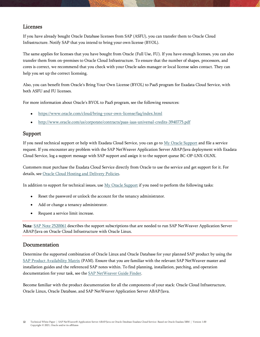## <span id="page-11-0"></span>Licenses

If you have already bought Oracle Database licenses from SAP (ASFU), you can transfer them to Oracle Cloud Infrastructure. Notify SAP that you intend to bring your own license (BYOL).

The same applies for licenses that you have bought from Oracle (Full Use, FU). If you have enough licenses, you can also transfer them from on-premises to Oracle Cloud Infrastructure. To ensure that the number of shapes, processors, and cores is correct, we recommend that you check with your Oracle sales manager or local license sales contact. They can help you set up the correct licensing.

Also, you can benefit from Oracle's Bring Your Own License (BYOL) to PaaS program for Exadata Cloud Service, with both ASFU and FU licenses.

For more information about Oracle's BYOL to PaaS program, see the following resources:

- <https://www.oracle.com/cloud/bring-your-own-license/faq/index.html>
- <http://www.oracle.com/us/corporate/contracts/paas-iaas-universal-credits-3940775.pdf>

## <span id="page-11-1"></span>Support

If you need technical support or help with Exadata Cloud Service, you can go t[o My Oracle Support](http://support.oracle.com/) and file a service request. If you encounter any problem with the SAP NetWeaver Application Server ABAP/Java deployment with Exadata Cloud Service, log a support message with SAP support and assign it to the support queue BC-OP-LNX-OLNX.

Customers must purchase the Exadata Cloud Service directly from Oracle to use the service and get support for it. For details, see [Oracle Cloud Hosting and Delivery Policies.](http://www.oracle.com/us/corporate/contracts/ocloud-hosting-delivery-policies-3089853.pdf)

In addition to support for technical issues, use  $My$  Oracle Support if you need to perform the following tasks:

- Reset the password or unlock the account for the tenancy administrator.
- Add or change a tenancy administrator.
- Request a service limit increase.

Note: [SAP Note 2520061](https://launchpad.support.sap.com/#/notes/2520061) describes the support subscriptions that are needed to run SAP NetWeaver Application Server ABAP/Java on Oracle Cloud Infrastructure with Oracle Linux.

### <span id="page-11-2"></span>Documentation

Determine the supported combination of Oracle Linux and Oracle Database for your planned SAP product by using the [SAP Product Availability Matrix](https://apps.support.sap.com/sap/support/pam) (PAM). Ensure that you are familiar with the relevant SAP NetWeaver master and installation guides and the referenced SAP notes within. To find planning, installation, patching, and operation documentation for your task, see th[e SAP NetWeaver Guide Finder.](https://cp.hana.ondemand.com/dps/d/preview/ec5624d5073d4c949b42bf284742748d/1.0/en-US/frameset.htm?576f5c1808de4d1abecbd6e503c9ba42.html)

Become familiar with the product documentation for all the components of your stack: Oracle Cloud Infrastructure, Oracle Linux, Oracle Database, and SAP NetWeaver Application Server ABAP/Java.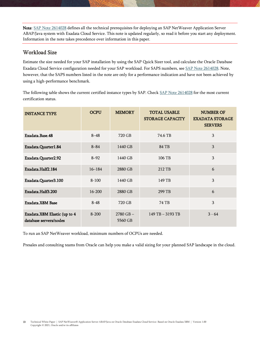Note: [SAP Note 2614028](https://launchpad.support.sap.com/#/notes/2614028) defines all the technical prerequisites for deploying an SAP NetWeaver Application Server ABAP/Java system with Exadata Cloud Service. This note is updated regularly, so read it before you start any deployment. Information in the note takes precedence over information in this paper.

## <span id="page-12-0"></span>Workload Size

Estimate the size needed for your SAP installation by using the [SAP Quick Sizer tool,](http://sap.com/sizing) and calculate the Oracle Database Exadata Cloud Service configuration needed for your SAP workload. For SAPS numbers, se[e SAP Note 2614028.](https://launchpad.support.sap.com/#/notes/2614028) Note, however, that the SAPS numbers listed in the note are only for a performance indication and have not been achieved by using a high-performance benchmark.

The following table shows the current certified instance types by SAP. Check [SAP Note 2614028](https://launchpad.support.sap.com/#/notes/2614028) for the most current certification status.

| <b>INSTANCE TYPE</b>                                   | <b>OCPU</b> | <b>MEMORY</b>            | <b>TOTAL USABLE</b><br><b>STORAGE CAPACITY</b> | <b>NUMBER OF</b><br><b>EXADATA STORAGE</b><br><b>SERVERS</b> |
|--------------------------------------------------------|-------------|--------------------------|------------------------------------------------|--------------------------------------------------------------|
| Exadata Base 48                                        | $8 - 48$    | 720 GB                   | 74.6 TB                                        | 3                                                            |
| Exadata.Quarter1.84                                    | $8 - 84$    | 1440 GB                  | 84 TB                                          | 3                                                            |
| Exadata.Quarter2.92                                    | $8 - 92$    | 1440 GB                  | 106 TB                                         | $\overline{3}$                                               |
| Exadata.Half2.184                                      | $16 - 184$  | 2880 GB                  | 212 TB                                         | 6                                                            |
| Exadata.Quarter3.100                                   | $8 - 100$   | 1440 GB                  | 149 TB                                         | 3                                                            |
| Exadata.Half3.200                                      | $16 - 200$  | 2880 GB                  | 299 TB                                         | 6                                                            |
| Exadata.X8M Base                                       | $8 - 48$    | 720 GB                   | 74 TB                                          | 3                                                            |
| Exadata.X8M Elastic (up to 4<br>database servers/nodes | $8 - 200$   | $2780$ GB $-$<br>5560 GB | 149 TB - 3193 TB                               | $3 - 64$                                                     |

To run an SAP NetWeaver workload, minimum numbers of OCPUs are needed.

Presales and consulting teams from Oracle can help you make a valid sizing for your planned SAP landscape in the cloud.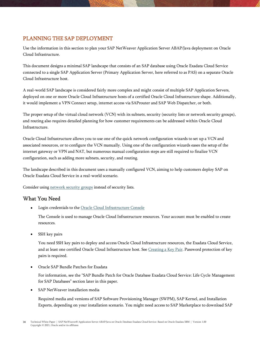## <span id="page-13-0"></span>PLANNING THE SAP DEPLOYMENT

Use the information in this section to plan your SAP NetWeaver Application Server ABAP/Java deployment on Oracle Cloud Infrastructure.

This document designs a minimal SAP landscape that consists of an SAP database using Oracle Exadata Cloud Service connected to a single SAP Application Server (Primary Application Server, here referred to as PAS) on a separate Oracle Cloud Infrastructure host.

A real-world SAP landscape is considered fairly more complex and might consist of multiple SAP Application Servers, deployed on one or more Oracle Cloud Infrastructure hosts of a certified Oracle Cloud Infrastructure shape. Additionally, it would implement a VPN Connect setup, internet access via SAProuter and SAP Web Dispatcher, or both.

The proper setup of the virtual cloud network (VCN) with its subnets, security (security lists or network security groups), and routing also requires detailed planning for how customer requirements can be addressed within Oracle Cloud Infrastructure.

Oracle Cloud Infrastructure allows you to use one of the quick network configuration wizards to set up a VCN and associated resources, or to configure the VCN manually. Using one of the configuration wizards eases the setup of the internet gateway or VPN and NAT, but numerous manual configuration steps are still required to finalize VCN configuration, such as adding more subnets, security, and routing.

The landscape described in this document uses a manually configured VCN, aiming to help customers deploy SAP on Oracle Exadata Cloud Service in a real-world scenario.

Consider using [network security groups](https://docs.cloud.oracle.com/iaas/Content/Network/Concepts/networksecuritygroups.htm) instead of security lists.

## <span id="page-13-1"></span>What You Need

Login credentials to the [Oracle Cloud Infrastructure Console](https://console.us-phoenix-1.oraclecloud.com/)

The Console is used to manage Oracle Cloud Infrastructure resources. Your account must be enabled to create resources.

SSH key pairs

You need SSH key pairs to deploy and access Oracle Cloud Infrastructure resources, the Exadata Cloud Service, and at least one certified Oracle Cloud Infrastructure host. See Creating [a Key Pair.](https://docs.cloud.oracle.com/iaas/Content/GSG/Tasks/creatingkeys.htm) Password protection of key pairs is required.

• Oracle SAP Bundle Patches for Exadata

For information, see the "SAP Bundle Patch for Oracle Database Exadata Cloud Service: Life Cycle Management for SAP Databases" section later in this paper.

SAP NetWeaver installation media

Required media and versions of SAP Software Provisioning Manager (SWPM), SAP Kernel, and Installation Exports, depending on your installation scenario. You might need access to SAP Marketplace to download SAP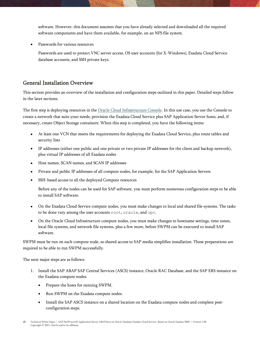software. However, this document assumes that you have already selected and downloaded all the required software components and have them available, for example, on an NFS file system.

• Passwords for various resources

Passwords are used to protect VNC server access, OS user accounts (for X-Windows), Exadata Cloud Service database accounts, and SSH private keys.

## <span id="page-14-0"></span>General Installation Overview

This section provides an overview of the installation and configuration steps outlined in this paper. Detailed steps follow in the later sections.

The first step is deploying resources in th[e Oracle Cloud Infrastructure Console.](https://console.us-phoenix-1.oraclecloud.com/a/) In this use case, you use the Console to create a network that suits your needs, provision the Exadata Cloud Service plus SAP Application Server hosts, and, if necessary, create Object Storage containers. When this step is completed, you have the following items:

- At least one VCN that meets the requirements for deploying the Exadata Cloud Service, plus route tables and security lists
- IP addresses (either one public and one private or two private IP addresses for the client and backup network), plus virtual IP addresses of all Exadata nodes
- Host names, SCAN names, and SCAN IP addresses
- Private and public IP addresses of all compute nodes, for example, for the SAP Application Servers
- SSH-based access to all the deployed Compute resources

Before any of the nodes can be used for SAP software, you must perform numerous configuration steps to be able to install SAP software.

- On the Exadata Cloud Service compute nodes, you must make changes to local and shared file systems. The tasks to be done vary among the user accounts root, oracle, and opc.
- On the Oracle Cloud Infrastructure compute nodes, you must make changes to hostname settings, time zones, local file systems, and network file systems, plus a few more, before SWPM can be executed to install SAP software.

SWPM must be run on each compute node, so shared access to SAP media simplifies installation. These preparations are required to be able to run SWPM successfully.

The next major steps are as follows:

- 1. Install the SAP ABAP SAP Central Services (ASCS) instance, Oracle RAC Database, and the SAP ERS instance on the Exadata compute nodes.
	- Prepare the hosts for running SWPM.
	- Run SWPM on the Exadata compute nodes.
	- Install the SAP ASCS instance on a shared location on the Exadata compute nodes and complete postconfiguration steps.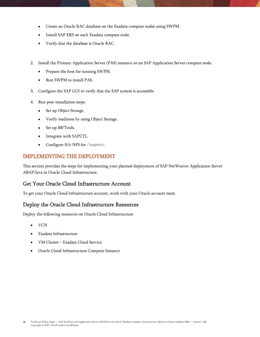- Create an Oracle RAC database on the Exadata compute nodes using SWPM.
- Install SAP ERS on each Exadata compute node.
- Verify that the database is Oracle RAC.
- 2. Install the Primary Application Server (PAS) instance on an SAP Application Server compute node.
	- Prepare the host for running SWPM.
	- Run SWPM to install PAS.
- 3. Configure the SAP GUI to verify that the SAP system is accessible.
- 4. Run post-installation steps.
	- Set up Object Storage.
	- Verify readiness by using Object Storage.
	- Set up BR\*Tools.
	- Integrate with SAPCTL.
	- Configure HA-NFS for /sapmnt.

### <span id="page-15-0"></span>IMPLEMENTING THE DEPLOYMENT

This section provides the steps for implementing your planned deployment of SAP NetWeaver Application Server ABAP/Java in Oracle Cloud Infrastructure.

#### <span id="page-15-1"></span>Get Your Oracle Cloud Infrastructure Account

To get your Oracle Cloud Infrastructure account, work with your Oracle account team.

### <span id="page-15-2"></span>Deploy the Oracle Cloud Infrastructure Resources

Deploy the following resources on Oracle Cloud Infrastructure:

- VCN
- Exadata Infrastructure
- VM Cluster Exadata Cloud Service
- Oracle Cloud Infrastructure Compute Instance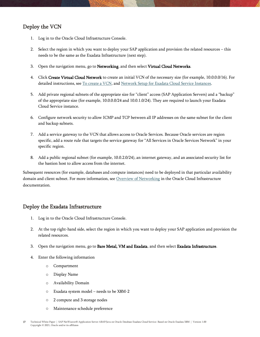## <span id="page-16-0"></span>Deploy the VCN

- 1. Log in to th[e Oracle Cloud Infrastructure Console.](https://console.us-phoenix-1.oraclecloud.com/a/)
- 2. Select the region in which you want to deploy your SAP application and provision the related resources this needs to be the same as the Exadata Infrastructure (next step).
- 3. Open the navigation menu, go to Networking, and then select Virtual Cloud Networks.
- 4. Click Create Virtual Cloud Network to create an initial VCN of the necessary size (for example, 10.0.0.0/16). For detailed instructions, see [To create a VCN,](https://docs.cloud.oracle.com/iaas/Content/Network/Tasks/managingVCNs.htm#console) and [Network Setup for Exadata Cloud Service Instances.](https://docs.cloud.oracle.com/en-us/iaas/Content/Database/Tasks/exanetwork.htm)
- 5. Add private regional subnets of the appropriate size for "client" access (SAP Application Servers) and a "backup" of the appropriate size (for example, 10.0.0.0/24 and 10.0.1.0/24). They are required to launch your Exadata Cloud Service instance.
- 6. Configure network security to allow ICMP and TCP between all IP addresses on the same subnet for the client and backup subnets.
- 7. Add a service gateway to the VCN that allows access to Oracle Services. Because Oracle services are region specific, add a route rule that targets the service gateway for "All Services in Oracle Services Network" in your specific region.
- 8. Add a public regional subnet (for example, 10.0.2.0/24), an internet gateway, and an associated security list for the bastion host to allow access from the internet.

Subsequent resources (for example, databases and compute instances) need to be deployed in that particular availability domain and client subnet. For more information, se[e Overview of Networking](https://docs.us-phoenix-1.oraclecloud.com/Content/Network/Concepts/overview.htm) in the Oracle Cloud Infrastructure documentation.

## <span id="page-16-1"></span>Deploy the Exadata Infrastructure

- 1. Log in to the Oracle Cloud Infrastructure Console.
- 2. At the top right-hand side, select the region in which you want to deploy your SAP application and provision the related resources.
- 3. Open the navigation menu, go to Bare Metal, VM and Exadata, and then select Exadata Infrastructure.
- 4. Enter the following information
	- o Compartment
	- o Display Name
	- o Availability Domain
	- o Exadata system model needs to be X8M-2
	- o 2 compute and 3 storage nodes
	- o Maintenance schedule preference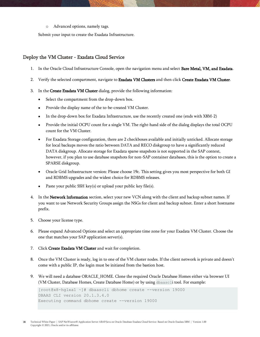o Advanced options, namely tags.

Submit your input to create the Exadata Infrastructure.

## <span id="page-17-0"></span>Deploy the VM Cluster - Exadata Cloud Service

- 1. In the Oracle Cloud Infrastructure Console, open the navigation menu and select **Bare Metal, VM, and Exadata**.
- 2. Verify the selected compartment, navigate to Exadata VM Clusters and then click Create Exadata VM Cluster.
- 3. In the Create Exadata VM Cluster dialog, provide the following information:
	- Select the compartment from the drop-down box.
	- Provide the display name of the to-be-created VM Cluster.
	- In the drop-down box for Exadata Infrastructure, use the recently created one (ends with X8M-2)
	- Provide the initial OCPU count for a single VM. The right-hand side of the dialog displays the total OCPU count for the VM Cluster.
	- For Exadata Storage configuration, there are 2 checkboxes available and initially unticked. Allocate storage for local backups moves the ratio between DATA and RECO diskgroup to have a significantly reduced DATA diskgroup. Allocate storage for Exadata sparse snapshots is not supported in the SAP context, however, if you plan to use database snapshots for non-SAP container databases, this is the option to create a SPARSE diskgroup.
	- Oracle Grid Infrastructure version: Please choose 19c. This setting gives you most perspective for both GI and RDBMS upgrades and the widest choice for RDBMS releases.
	- Paste your public SSH key(s) or upload your public key file(s).
- 4. In the Network Information section, select your new VCN along with the client and backup subnet names. If you want to use Network Security Groups assign the NSGs for client and backup subnet. Enter a short hostname prefix.
- 5. Choose your license type.
- 6. Please expand Advanced Options and select an appropriate time zone for your Exadata VM Cluster. Choose the one that matches your SAP application server(s).
- 7. Click Create Exadata VM Cluster and wait for completion.
- 8. Once the VM Cluster is ready, log in to one of the VM cluster nodes. If the client network is private and doesn't come with a public IP, the login must be initiated from the bastion host.
- 9. We will need a database ORACLE\_HOME. Clone the required Oracle Database Homes either via browser UI (VM Cluster, Database Homes, Create Database Home) or by using dbaascli tool. For example:

```
[root@x8-hglxa1 ~]# dbaascli dbhome create --version 19000
DBAAS CLI version 20.1.3.4.0
Executing command dbhome create --version 19000
```
18 Technical White Paper | SAP NetWeaver® Application Server ABAP/Java on Oracle Database Exadata Cloud Service: Based on Oracle Exadata X8M | Version 1.00 Copyright © 2021, Oracle and/or its affiliates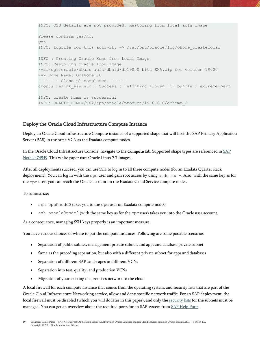```
INFO: OSS details are not provided, Restoring from local acfs image
Please confirm yes/no:
yes
INFO: Logfile for this activity => /var/opt/oracle/log/ohome_createlocal
INFO : Creating Oracle Home from Local Image
INFO: Restoring Oracle from Image
/var/opt/oracle/dbaas_acfs/dbnid/db19000_bits_EXA.zip for version 19000
New Home Name: OraHome100
-------- Clone.pl completed -------
dbopts relink vsn suc : Success : relinking libvsn for bundle : extreme-perf
INFO: create home is successful 
INFO: ORACLE_HOME=/u02/app/oracle/product/19.0.0.0/dbhome_2
```
### <span id="page-18-0"></span>Deploy the Oracle Cloud Infrastructure Compute Instance

Deploy an Oracle Cloud Infrastructure Compute instance of a supported shape that will host the SAP Primary Application Server (PAS) in the same VCN as the Exadata compute nodes.

In the Oracle Cloud Infrastructure Console, navigate to the **Compute** tab. Supported shape types are referenced in SAP [Note 2474949.](https://launchpad.support.sap.com/#/notes/2474949) This white paper uses Oracle Linux 7.7 images.

After all deployments succeed, you can use SSH to log in to all three compute nodes (for an Exadata Quarter Rack deployment). You can log in with the opc user and gain root access by using sudo su -. Also, with the same key as for the opc user, you can reach the Oracle account on the Exadata Cloud Service compute nodes.

To summarize:

- ssh opc@node0 takes you to the opc user on Exadata compute node0.
- ssh oracle@node0 (with the same key as for the opc user) takes you into the Oracle user account.

As a consequence, managing SSH keys properly is an important measure.

You have various choices of where to put the compute instances. Following are some possible scenarios:

- Separation of public subnet, management private subnet, and apps and database private subnet
- Same as the preceding separation, but also with a different private subnet for apps and databases
- Separation of different SAP landscapes in different VCNs
- Separation into test, quality, and production VCNs
- Migration of your existing on-premises network to the cloud

A local firewall for each compute instance that comes from the operating system, and security lists that are part of the Oracle Cloud Infrastructure Networking service, allow and deny specific network traffic. For an SAP deployment, the local firewall must be disabled (which you will do later in this paper), and only the [security lists](https://docs.us-phoenix-1.oraclecloud.com/Content/Network/Concepts/securitylists.htm) for the subnets must be managed. You can get an overview about the required ports for an SAP system from [SAP Help Ports.](https://help.sap.com/viewer/ports)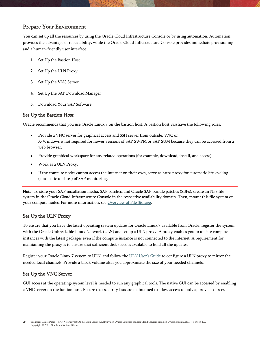## <span id="page-19-0"></span>Prepare Your Environment

You can set up all the resources by using the Oracle Cloud Infrastructure Console or by using automation. Automation provides the advantage of repeatability, while the Oracle Cloud Infrastructure Console provides immediate provisioning and a human-friendly user interface.

- 1. [Set Up the Bastion](#page-19-1) Host
- 2. [Set Up the ULN Proxy](#page-19-2)
- 3. [Set Up the VNC Server](#page-19-3)
- 4. [Set Up the SAP Download Manager](#page-20-0)
- 5. [Download Your SAP](#page-20-1) Software

### <span id="page-19-1"></span>Set Up the Bastion Host

Oracle recommends that you use Oracle Linux 7 on the bastion host. A bastion host *can* have the following roles:

- Provide a VNC server for graphical access and SSH server from outside. VNC or X-Windows is not required for newer versions of SAP SWPM or SAP SUM because they can be accessed from a web browser.
- Provide graphical workspace for any related operations (for example, download, install, and access).
- Work as a ULN Proxy.
- If the compute nodes cannot access the internet on their own, serve as https proxy for automatic life-cycling (automatic updates) of SAP monitoring.

Note: To store your SAP installation media, SAP patches, and Oracle SAP bundle patches (SBPs), create an NFS file system in the Oracle Cloud Infrastructure Console in the respective availability domain. Then, mount this file system on your compute nodes. For more information, see [Overview of File Storage.](https://docs.cloud.oracle.com/iaas/Content/File/Concepts/filestorageoverview.htm)

## <span id="page-19-2"></span>Set Up the ULN Proxy

To ensure that you have the latest operating system updates for Oracle Linux 7 available from Oracle, register the system with the Oracle Unbreakable Linux Network (ULN) and set up a ULN proxy. A proxy enables you to update compute instances with the latest packages even if the compute instance is not connected to the internet. A requirement for maintaining the proxy is to ensure that sufficient disk space is available to hold all the updates.

Register your Oracle Linux 7 system to ULN, and follow the [ULN User's Guide](http://docs.oracle.com/cd/E52668_01/E39381/html/) to configure a ULN proxy to mirror the needed local channels. Provide a block volume after you approximate the size of your needed channels.

## <span id="page-19-3"></span>Set Up the VNC Server

GUI access at the operating-system level is needed to run any graphical tools. The native GUI can be accessed by enabling a VNC server on the bastion host. Ensure that security lists are maintained to allow access to only approved sources.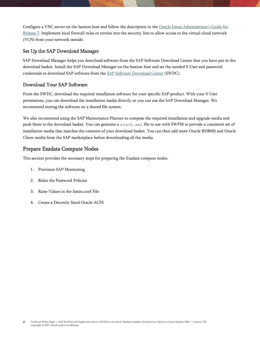Configure a VNC server on the bastion host and follow the description in the [Oracle Linux Administrator's Guide for](https://docs.oracle.com/en/operating-systems/oracle-linux/7/network/ol7-vnc.html#ol7-vnc-about)  [Release 7.](https://docs.oracle.com/en/operating-systems/oracle-linux/7/network/ol7-vnc.html#ol7-vnc-about) Implement local firewall rules or entries into the security lists to allow access to the virtual cloud network (VCN) from your network outside.

### <span id="page-20-0"></span>Set Up the SAP Download Manager

SAP Download Manager helps you download software from the SAP Software Download Center that you have put in the download basket. Install the SAP Download Manager on the bastion host and set the needed S-User and password credentials to download SAP software from the [SAP Software Download Center](https://support.sap.com/swdc) (SWDC).

## <span id="page-20-1"></span>Download Your SAP Software

From the SWDC, download the required installation software for your specific SAP product. With your S-User permissions, you can download the installation media directly or you can use the SAP Download Manager. We recommend storing the software on a shared file system.

We also recommend using the SAP Maintenance Planner to compose the required installation and upgrade media and push them to the download basket. You can generate a stack.xml file to use with SWPM to provide a consistent set of installation media that matches the contents of your download basket. You can then add more Oracle RDBMS and Oracle Client media from the SAP marketplace before downloading all the media.

## <span id="page-20-2"></span>Prepare Exadata Compute Nodes

This section provides the necessary steps for preparing the Exadata compute nodes.

- 1. [Provision SAP Monitoring](#page-21-0)
- 2. [Relax the Password Policies](#page-23-0)
- 3. [Raise Values in the limits.conf File](#page-23-1)
- 4. [Create a Decently Sized Oracle ACFS](#page-24-0)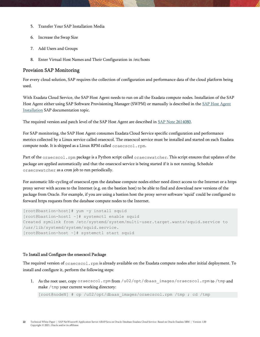- 5. Transfer [Your SAP Installation](#page-24-1) Media
- 6. [Increase the Swap Size](#page-25-1)
- 7. [Add Users](#page-25-2) and Groups
- 8. Enter Virtual Host [Names and Their Configuration](#page-25-3) in /etc/hosts

#### <span id="page-21-0"></span>Provision SAP Monitoring

For every cloud solution, SAP requires the collection of configuration and performance data of the cloud platform being used.

With Exadata Cloud Service, the SAP Host Agent needs to run on all the Exadata compute nodes. Installation of the SAP Host Agent either using SAP Software Provisioning Manager (SWPM) or manually is described in the [SAP Host Agent](https://help.sap.com/viewer/3ce0859db2164fe19541dda577d29020/7.5.9/en-US/ba5e83bd129e4932a4a7726fcea01c4f.html)  [Installation](https://help.sap.com/viewer/3ce0859db2164fe19541dda577d29020/7.5.9/en-US/ba5e83bd129e4932a4a7726fcea01c4f.html) SAP documentation topic.

The required version and patch level of the SAP Host Agent are described in SAP Note 2614080.

For SAP monitoring, the SAP Host Agent consumes Exadata Cloud Service specific configuration and performance metrics collected by a Linux service called oraecscol. The oraecscol service must be installed and started on each Exadata compute node. It is shipped as a Linux RPM called oraecscol.rpm.

Part of the oraecscol.rpm package is a Python script called oraecswatcher. This script ensures that updates of the package are applied automatically and that the oraecscol service is being started if it is not running. Schedule oraecswatcher as a cron job to run periodically.

For automatic life-cycling of oraecscol.rpm the database compute nodes either need direct access to the Internet or a https proxy server with access to the Internet (e.g. on the bastion host) to be able to find and download new versions of the package from Oracle. For example, if you are using a bastion host the proxy server software 'squid' could be configured to forward https requests from the database compute nodes to the Internet.

```
[root@bastion-host]# yum -y install squid 
[root@bastion-host1 ~]# systemctl enable squid 
Created symlink from /etc/systemd/system/multi-user.target.wants/squid.service to 
/usr/lib/systemd/system/squid.service. 
[root@bastion-host ~]# systemctl start squid
```
#### To Install and Configure the oraecscol Package

The required version of oraecscol.rpm is already available on the Exadata compute nodes after initial deployment. To install and configure it, perform the following steps:

1. As the root user, copy oraecscol.rpm from /u02/opt/dbaas\_images/oraecscol.rpm to /tmp and make / tmp your current working directory:

[root@nodeN] # cp /u02/opt/dbaas images/oraecscol.rpm /tmp ; cd /tmp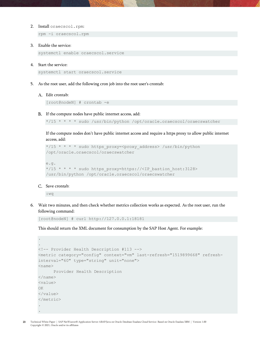2. Install oraecscol.rpm:

rpm -i oraecscol.rpm

3. Enable the service:

systemctl enable oraecscol.service

4. Start the service:

systemctl start oraecscol.service

5. As the root user, add the following cron job into the root user's crontab:

#### A. Edit crontab:

[root@nodeN] # crontab -e

B. If the compute nodes have public internet access, add:

\*/15 \* \* \* \* sudo /usr/bin/python /opt/oracle.oraecscol/oraecswatcher

If the compute nodes don't have public internet access and require a https proxy to allow public internet access, add:

```
*/15 * * * * sudo https_proxy=<proxy_address> /usr/bin/python 
/opt/oracle.oraecscol/oraecswatcher
```

```
e.g.
*/15 * * * * sudo https proxy=https://<IP bastion host:3128>
/usr/bin/python /opt/oracle.oraecscol/oraecswatcher
```
C. Save crontab:

:wq

6. Wait two minutes, and then check whether metrics collection works as expected. As the root user, run the following command:

[root@nodeN] # curl http://127.0.0.1:18181

This should return the XML document for consumption by the SAP Host Agent. For example:

```
.
.
<!-- Provider Health Description #113 -->
<metric category="config" context="vm" last-refresh="1519899668" refresh-
interval="60" type="string" unit="none">
<name>Provider Health Description
</name>
<value>
OK
</value>
</metric>
.
.
```
23 Technical White Paper | SAP NetWeaver® Application Server ABAP/Java on Oracle Database Exadata Cloud Service: Based on Oracle Exadata X8M | Version 1.00 Copyright © 2021, Oracle and/or its affiliates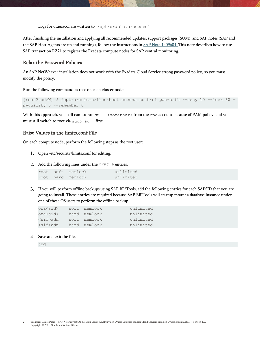Logs for oraecscol are written to /opt/oracle.oraecscol.

After finishing the installation and applying all recommended updates, support packages (SUM), and SAP notes (SAP and the SAP Host Agents are up and running), follow the instructions i[n SAP Note 1409604.](https://launchpad.support.sap.com/#/notes/1409604) This note describes how to use SAP transaction RZ21 to register the Exadata compute nodes for SAP central monitoring.

#### <span id="page-23-0"></span>Relax the Password Policies

An SAP NetWeaver installation does not work with the Exadata Cloud Service strong password policy, so you must modify the policy.

Run the following command as root on each cluster node:

```
[root@nodeN] # /opt/oracle.cellos/host_access_control pam-auth --deny 10 --lock 60 —
pwquality 6 --remember 0
```
With this approach, you still cannot run su - <someuser> from the opc account because of PAM policy, and you must still switch to root via sudo su – first.

#### <span id="page-23-1"></span>Raise Values in the limits.conf File

On each compute node, perform the following steps as the root user:

- Open /etc/security/limits.conf for editing.
- Add the following lines under the oracle entries:

|  | root soft memlock | unlimited |
|--|-------------------|-----------|
|  | root hard memlock | unlimited |

If you will perform offline backups using SAP BR\*Tools, add the following entries for each SAPSID that you are going to install. These entries are required because SAP BR\*Tools will startup mount a database instance under one of these OS users to perform the offline backup.

| ora <sid></sid> | soft memlock | unlimited |
|-----------------|--------------|-----------|
| ora <sid></sid> | hard memlock | unlimited |
| $<$ sid $>$ adm | soft memlock | unlimited |
| $<$ sid $>$ adm | hard memlock | unlimited |

Save and exit the file.

:wq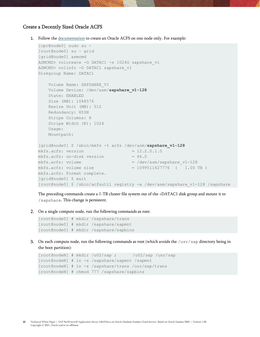#### <span id="page-24-0"></span>Create a Decently Sized Oracle ACFS

1. Follow the [documentation](https://docs.oracle.com/en/database/oracle/oracle-database/18/ostmg/steps-manage-acfs.html#GUID-4C98CF06-8CCC-45F1-9316-C40FB3EFF268) to create an Oracle ACFS on one node only. For example:

```
[opc@node0] sudo su -
[root@node0] su – grid
[grid@node0] asmcmd
ASMCMD> volcreate -G DATAC1 -s 1024G sapshare v1
ASMCMD> volinfo -G DATAC1 sapshare_v1
Diskgroup Name: DATAC1
    Volume Name: SAPSHARE_V1
    Volume Device: /dev/asm/sapshare_v1-128
    State: ENABLED
    Size (MB): 1048576
    Resize Unit (MB): 512
    Redundancy: HIGH
    Stripe Columns: 8
    Stripe Width (K): 1024
    Usage:
    Mountpath:
[grid@node0] $ /sbin/mkfs -t acfs /dev/asm/sapshare_v1-128
mkfs. acts: version = <math>12.2.0.1.0</math>mkfs. acts: on-disk version = <math>46.0</math>mkfs. acts: volume = /dev/asm/sapshare v1-128
mkfs. acts: volume size = 1099511627776 ( 1.00 TB)mkfs.acfs: Format complete.
[grid@node0] $ exit
[root@node0] $ /sbin/acfsutil registry -a /dev/asm/sapshare_v1-128 /sapshare
```
The preceding commands create a 1-TB cluster file system out of the +DATAC1 disk group and mount it to /sapshare. This change is persistent.

On a single compute node, run the following commands as root:

```
[root@node0] # mkdir /sapshare/trans 
[root@node0] # mkdir /sapshare/sapmnt
[root@node0] # mkdir /sapshare/sapbins
```
3. On each compute node, run the following commands as root (which avoids the  $/\text{usr/sap}$  directory being in the boot partition):

```
[root@nodeN] # mkdir /u02/sap ; /u02/sap /usr/sap
[root@nodeN] # ln -s /sapshare/sapmnt /sapmnt
[root@nodeN] # ln -s /sapshare/trans /usr/sap/trans
[root@nodeN] # chmod 777 /sapshare/sapbins
```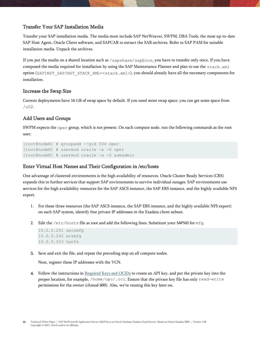## <span id="page-25-0"></span>Transfer Your SAP Installation Media

Transfer your SAP installation media. The media must include SAP NetWeaver, SWPM, DBA Tools, the most up-to-date SAP Host Agent, Oracle Client software, and SAPCAR to extract the SAR archives. Refer to SAP PAM for suitable installation media. Unpack the archives.

If you put the media on a shared location such as /sapshare/sapbins, you have to transfer only once. If you have composed the media required for installation by using the SAP Maintenance Planner and plan to use the  $stack xml$ option (SAPINST\_SAPINST\_STACK\_XML=<stack.xml>), you should already have all the necessary components for installation.

#### <span id="page-25-1"></span>Increase the Swap Size

Current deployments have 16 GB of swap space by default. If you need more swap space, you can get some space from /u02.

#### <span id="page-25-2"></span>Add Users and Groups

SWPM expects the oper group, which is not present. On each compute node, run the following commands as the root user:

```
[root@nodeN] # groupadd --gid 504 oper
[root@nodeN] # usermod oracle -a -G oper
[root@nodeN] # usermod oracle -a -G asmadmin
```
#### <span id="page-25-3"></span>Enter Virtual Host Names and Their Configuration in /etc/hosts

One advantage of clustered environments is the high availability of resources. Oracle Cluster Ready Services (CRS) expands this to further services that support SAP environments to survive individual outages. SAP environments use services for the high availability resources for the SAP ASCS instance, the SAP ERS instance, and the highly available NFS export.

- 1. For these three resources (the SAP ASCS instance, the SAP ERS instance, and the highly available NFS export) on each SAP system, identify free private IP addresses in the Exadata client subnet.
- 2. Edit the /etc/hosts file as root and add the following lines. Substitute your SAPSID for mfg.

```
10.0.0.241 ascsmfg
10.0.0.242 ersmfg
10.0.0.243 hanfs
```
Save and exit the file, and repeat the preceding step on all compute nodes.

Next, register these IP addresses with the VCN.

4. Follow the instructions in [Required Keys and OCIDs](https://docs.cloud.oracle.com/iaas/Content/API/Concepts/apisigningkey.htm) to create an API key, and put the private key into the proper location, for example, /home/opc/.oci. Ensure that the private key file has only read-write permissions for the owner (chmod 600). Also, we're reusing this key later on.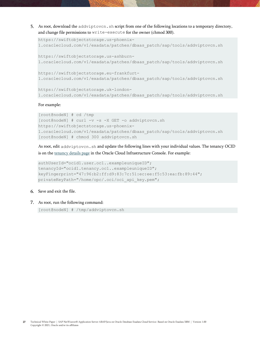5. As root, download the addviptovcn.sh script from one of the following locations to a temporary directory, and change file permissions to write-execute for the owner (chmod 300).

```
https://swiftobjectstorage.us-phoenix-
1.oraclecloud.com/v1/exadata/patches/dbaas_patch/sap/tools/addviptovcn.sh
https://swiftobjectstorage.us-ashburn-
1.oraclecloud.com/v1/exadata/patches/dbaas_patch/sap/tools/addviptovcn.sh
https://swiftobjectstorage.eu-frankfurt-
1.oraclecloud.com/v1/exadata/patches/dbaas_patch/sap/tools/addviptovcn.sh
https://swiftobjectstorage.uk-london-
1.oraclecloud.com/v1/exadata/patches/dbaas_patch/sap/tools/addviptovcn.sh
```
#### For example:

```
[root@nodeN] # cd /tmp
[root@nodeN] # curl -v -s -X GET -o addviptovcn.sh 
https://swiftobjectstorage.us-phoenix-
1.oraclecloud.com/v1/exadata/patches/dbaas_patch/sap/tools/addviptovcn.sh
[root@nodeN] # chmod 300 addviptovcn.sh
```
As root, edit addviptovcn.sh and update the following lines with your individual values. The tenancy OCID is on the [tenancy details page](https://docs.cloud.oracle.com/iaas/Content/Identity/Tasks/managingtenancy.htm) in the Oracle Cloud Infrastructure Console. For example:

```
authUserId="ocid1.user.oc1..exampleuniqueID";
tenancyId="ocid1.tenancy.oc1..exampleuniqueID";
keyFingerprint="47:96:b2:ff:d9:83:7c:51:ec:ee:f5:53:ea:fb:89:44";
privateKeyPath="/home/opc/.oci/oci_api_key.pem";
```
#### 6. Save and exit the file.

#### As root, run the following command:

[root@nodeN] # /tmp/addviptovcn.sh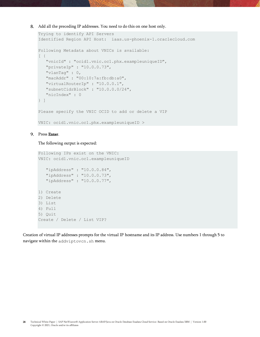#### Add all the preceding IP addresses. You need to do this on one host only.

```
Trying to identify API Servers
Identified Region API Host: iaas.us-phoenix-1.oraclecloud.com
Following Metadata about VNICs is available:
[ {
   "vnicId" : "ocid1.vnic.oc1.phx.exampleuniqueID",
  "privateIp" : "10.0.0.73",
  "vlanTag" : 0,
  "macAddr" : "00:10:7a:fb:db:a0",
   "virtualRouterIp" : "10.0.0.1",
  "subnetCidrBlock" : "10.0.0.0/24",
  "nicIndex" : 0
} ]
Please specify the VNIC OCID to add or delete a VIP
VNIC: ocid1.vnic.oc1.phx.exampleuniqueID >
```
#### 9. Press Enter.

#### The following output is expected:

```
Following IPs exist on the VNIC:
VNIC: ocid1.vnic.oc1.exampleuniqueID
   "ipAddress" : "10.0.0.84",
    "ipAddress" : "10.0.0.73",
   "ipAddress" : "10.0.0.77",
1) Create
2) Delete
3) List
4) Full
5) Quit
Create / Delete / List VIP?
```
Creation of virtual IP addresses prompts for the virtual IP hostname and its IP address. Use numbers 1 through 5 to navigate within the addviptovcn.sh menu.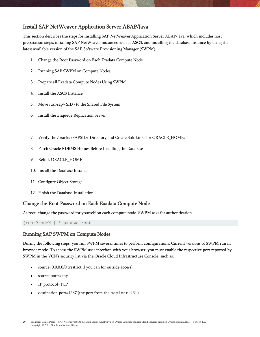## <span id="page-28-0"></span>Install SAP NetWeaver Application Server ABAP/Java

This section describes the steps for installing SAP NetWeaver Application Server ABAP/Java, which includes host preparation steps, installing SAP NetWeaverinstances such as ASCS, and installing the database instance by using the latest available version of the SAP Software Provisioning Manager (SWPM).

- 1. [Change the Root Password on Each Exadata Compute Node](#page-28-1)
- 2. [Running SAP SWPM on Compute Nodes](#page-28-2)
- 3. [Prepare all Exadata Compute Nodes Using SWPM](#page-29-0)
- 4. [Install the ASCS Instance](#page-30-0)
- 5. [Move /usr/sap/<SID> to the Shared File System](#page-30-1)
- 6. [Install the Enqueue Replication Server](#page-31-0)
- 7. [Verify the /oracle/<SAPSID> Directory and Create Soft Links for ORACLE\\_HOMEs](#page-32-1)
- 8. [Patch Oracle RDBMS Homes Before Installing the Database](#page-33-0)
- 9. [Relink ORACLE\\_HOME](#page-34-0)
- 10. [Install the Database Instance](#page-34-1)
- 11. [Configure Object Storage](#page-37-0)
- 12. [Finish the Database Installation](#page-39-0)

### <span id="page-28-1"></span>Change the Root Password on Each Exadata Compute Node

As root, change the password for yourself on each compute node. SWPM asks for authentication.

[root@nodeN ] # passwd root

### <span id="page-28-2"></span>Running SAP SWPM on Compute Nodes

During the following steps, you run SWPM several times to perform configurations. Current versions of SWPM run in browser mode. To access the SWPM user interface with your browser, you must enable the respective port reported by SWPM in the VCN's security list via the Oracle Cloud Infrastructure Console, such as:

- source=0.0.0.0/0 (restrict if you can for outside access)
- source ports=any
- IP protocol=TCP
- destination port=4237 (the port from the sapinst URL)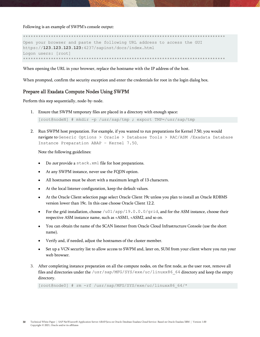Following is an example of SWPM's console output:

\*\*\*\*\*\*\*\*\*\*\*\*\*\*\*\*\*\*\*\*\*\*\*\*\*\*\*\*\*\*\*\*\*\*\*\*\*\*\*\*\*\*\*\*\*\*\*\*\*\*\*\*\*\*\*\*\*\*\*\*\*\*\*\*\*\*\*\*\*\*\*\*\*\*\*\*\*\*\*\* Open your browser and paste the following URL address to access the GUI https://**123.123.123.123**:4237/sapinst/docs/index.html Logon users: [root] \*\*\*\*\*\*\*\*\*\*\*\*\*\*\*\*\*\*\*\*\*\*\*\*\*\*\*\*\*\*\*\*\*\*\*\*\*\*\*\*\*\*\*\*\*\*\*\*\*\*\*\*\*\*\*\*\*\*\*\*\*\*\*\*\*\*\*\*\*\*\*\*\*\*\*\*\*\*\*\*

When opening the URL in your browser, replace the hostname with the IP address of the host.

When prompted, confirm the security exception and enter the credentials for root in the login dialog box.

#### <span id="page-29-0"></span>Prepare all Exadata Compute Nodes Using SWPM

Perform this step sequentially, node-by-node.

1. Ensure that SWPM temporary files are placed in a directory with enough space:

[root@nodeN] # mkdir -p /usr/sap/tmp ; export TMP=/usr/sap/tmp

2. Run SWPM host preparation. For example, if you wanted to run preparations for Kernel 7.50, you would navigate to Generic Options > Oracle > Database Tools > RAC/ASM /Exadata Database Instance Preparation ABAP – Kernel 7.50.

Note the following guidelines:

- Do not provide a stack. xml file for host preparations.
- At any SWPM instance, never use the FQDN option.
- All hostnames must be short with a maximum length of 13 characters.
- At the local listener configuration, keep the default values.
- At the Oracle Client selection page select Oracle Client 19c unless you plan to install an Oracle RDBMS version lower than 19c. In this case choose Oracle Client 12.2.
- For the grid installation, choose /u01/app/19.0.0.0/grid, and for the ASM instance, choose their respective ASM instance name, such as +ASM1, +ASM2, and so on.
- You can obtain the name of the SCAN listener from Oracle Cloud Infrastructure Console (use the short name).
- Verify and, if needed, adjust the hostnames of the cluster member.
- Set up a VCN security list to allow access to SWPM and, later on, SUM from your client where you run your web browser.
- 3. After completing instance preparation on all the compute nodes, on the first node, as the user root, remove all files and directories under the /usr/sap/MFG/SYS/exe/uc/linuxx86\_64 directory and keep the empty directory.

[root@node0] # rm -rf /usr/sap/MFG/SYS/exe/uc/linuxx86\_64/\*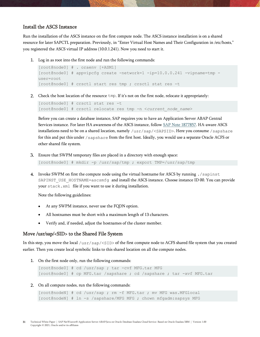#### <span id="page-30-0"></span>Install the ASCS Instance

Run the installation of the ASCS instance on the first compute node. The ASCS instance installation is on a shared resource for later SAPCTL preparation. Previously, in "Enter Virtual Host [Names and Their Configuration](#page-25-3) in /etc/hosts," you registered the ASCS virtual IP address (10.0.1.241). Now you need to start it.

1. Log in as root into the first node and run the following commands:

```
[root@node0] # . oraenv [+ASM1]
[root@node0] # appvipcfg create -network=1 -ip=10.0.0.241 -vipname=tmp -
user=root
[root@node0] # crsctl start res tmp ; crsctl stat res -t
```
Check the host location of the resource tmp. If it's not on the first node, relocate it appropriately:

```
[root@node0] # crsctl stat res -t 
[root@node0] # crsctl relocate res tmp -n <current_node_name>
```
Before you can create a database instance, SAP requires you to have an Application Server ABAP Central Services instance. For later HA awareness of the ASCS instance, follow [SAP Note 1877857.](https://launchpad.support.sap.com/#/notes/1877857) HA-aware ASCS installations need to be on a shared location, namely /usr/sap/<SAPSID>. Here you consume /sapshare for this and put this under /sapshare from the first host. Ideally, you would use a separate Oracle ACFS or other shared file system.

Ensure that SWPM temporary files are placed in a directory with enough space:

```
[root@node0] # mkdir -p /usr/sap/tmp ; export TMP=/usr/sap/tmp
```
Invoke SWPM on first the compute node using the virtual hostname for ASCS by running ./sapinst SAPINST\_USE\_HOSTNAME=ascsmfg\_and install the ASCS instance. Choose instance ID 00. You can provide your stack.xml file if you want to use it during installation.

Note the following guidelines:

- At any SWPM instance, never use the FQDN option.
- All hostnames must be short with a maximum length of 13 characters.
- Verify and, if needed, adjust the hostnames of the cluster member.

#### <span id="page-30-1"></span>Move /usr/sap/<SID> to the Shared File System

In this step, you move the local /usr/sap/<SID> of the first compute node to ACFS shared file system that you created earlier. Then you create local symbolic links to this shared location on all the compute nodes.

1. On the first node only, run the following commands:

```
[root@node0] # cd /usr/sap ; tar -cvf MFG.tar MFG
[root@node0] # cp MFG.tar /sapshare ; cd /sapshare ; tar -xvf MFG.tar
```
On all compute nodes, run the following commands:

```
[root@nodeN] # cd /usr/sap ; rm -f MFG.tar ; mv MFG was.MFGlocal
[root@nodeN] # ln -s /sapshare/MFG MFG ; chown mfgadm:sapsys MFG
```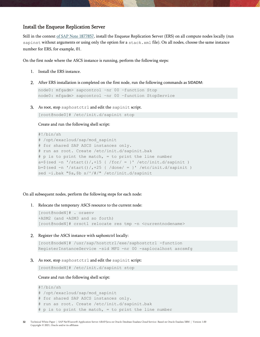#### <span id="page-31-0"></span>Install the Enqueue Replication Server

Still in the context [of SAP Note 1877857,](https://launchpad.support.sap.com/#/notes/1877857) install the Enqueue Replication Server (ERS) on all compute nodes locally (run sapinst without arguments or using only the option for a stack.xml file). On all nodes, choose the same instance number for ERS, for example, 01.

On the first node where the ASCS instance is running, perform the following steps:

- 1. Install the ERS instance.
- After ERS installation is completed on the first node, run the following commands as SIDADM:

```
node0: mfgadm> sapcontrol –nr 00 –function Stop
node0: mfgadm> sapcontrol –nr 00 –function StopService
```
As root, stop saphostctrl and edit the sapinit script.

```
[root@node0]# /etc/init.d/sapinit stop
```
Create and run the following shell script:

```
#!/bin/sh
# /opt/exacloud/sap/mod_sapinit
# for shared SAP ASCS instances only.
# run as root. Create /etc/init.d/sapinit.bak
# p is to print the match, = to print the line number
a=\frac{2}{3} (sed -n '/start()/, +15 { /for/ = }' /etc/init.d/sapinit )
b=$(sed -n '/start()/,+25 { /done/ = }' /etc/init.d/sapinit )
sed -i.bak "$a,$b s/^/#/" /etc/init.d/sapinit
```
On all subsequent nodes, perform the following steps for each node:

1. Relocate the temporary ASCS resource to the current node:

```
[root@nodeN]# . oraenv
+ASM2 (and +ASM3 and so forth)
[root@nodeN]# crsctl relocate res tmp -n <currentnodename>
```
2. Register the ASCS instance with saphostctrl locally:

```
[root@nodeN]# /usr/sap/hostctrl/exe/saphostctrl -function 
RegisterInstanceService -sid MFG -nr 00 -saplocalhost ascsmfg
```
As root, stop saphostctrl and edit the sapinit script:

[root@nodeN]# /etc/init.d/sapinit stop

Create and run the following shell script:

```
#!/bin/sh
# /opt/exacloud/sap/mod_sapinit
# for shared SAP ASCS instances only.
# run as root. Create /etc/init.d/sapinit.bak
# p is to print the match, = to print the line number
```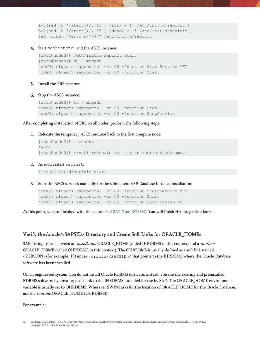```
a=\frac{2}{3}(sed -n '/start()/,+15 { /for/ = }' /etc/init.d/sapinit )
b=$(sed -n '/start()/,+25 { /done/ = }' /etc/init.d/sapinit )
sed -i.bak "$a,$b s/^/#/" /etc/init.d/sapinit
```
4. Start saphostctrl and the ASCS instance:

```
[root@nodeN]# /etc/init.d/sapinit start
[root@nodeN]# su - mfgadm
nodeN: mfgadm> sapcontrol -nr 00 -function StartService MFG 
nodeN: mfgadm> sapcontrol -nr 00 -function Start
```
- 5. Install the ERS instance.
- 6. Stop the ASCS instance:

```
[root@nodeN]# su - mfgadm
nodeN: mfgadm> sapcontrol -nr 00 -function Stop
nodeN: mfgadm> sapcontrol -nr 00 -function StopService
```
After completing installation of ERS on all nodes, perform the following steps:

1. Relocate the temporary ASCS resource back to the first compute node:

```
[root@node0]# . oraenv
+ASM1
[root@node0]# crsctl relocate res tmp -n <currentnodename>
```
As root, restart sapinit:

# /etc/init.d/sapinit start

Start the ASCS services manually for the subsequent SAP Database Instance installation:

node0: mfgadm> sapcontrol –nr 00 –function StartService MFG node0: mfgadm> sapcontrol –nr 00 –function Start node0: mfgadm> sapcontrol –nr 00 –function GetProcessList

<span id="page-32-1"></span>At this point, you are finished with the contents of [SAP Note 1877857.](https://launchpad.support.sap.com/#/notes/1877857) You will finish HA integration later.

#### <span id="page-32-0"></span>Verify the /oracle/<SAPSID> Directory and Create Soft Links for ORACLE\_HOMEs

SAP distinguishes between an *installation* ORACLE\_HOME (called IHRDBMS in this context) and a *runtime* ORACLE\_HOME (called OHRDBMS in this context). The OHRDBMS is usually defined as a soft link named <VERSION> (for example, 19) under /oracle/<SAPSID>/ that points to the IHRDBMS where the Oracle Database software has been installed.

On an engineered system, you do not install Oracle RDBMS software; instead, you use the existing and preinstalled RDBMS software by creating a soft link to the IHRDBMS intended for use by SAP. The ORACLE\_HOME environment variable is usually set to OHRDBMS. Wherever SWPM asks for the location of ORACLE\_HOME for the Oracle Database, use the *runtime* ORACLE\_HOME (OHRDBMS).

For example: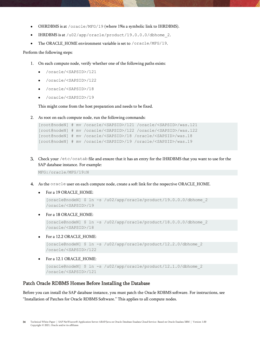- OHRDBMS is at /oracle/MFG/19 (where 19is a symbolic link to IHRDBMS).
- IHRDBMS is at /u02/app/oracle/product/19.0.0.0/dbhome\_2.
- The ORACLE\_HOME environment variable is set to /oracle/MFG/19.

Perform the following steps:

- 1. On each compute node, verify whether one of the following paths exists:
	- /oracle/<SAPSID>/121
	- /oracle/<SAPSID>/122
	- /oracle/<SAPSID>/18
	- /oracle/<SAPSID>/19

This might come from the host preparation and needs to be fixed.

2. As root on each compute node, run the following commands:

```
[root@nodeN] # mv /oracle/<SAPSID>/121 /oracle/<SAPSID>/was.121
[root@nodeN] # mv /oracle/<SAPSID>/122 /oracle/<SAPSID>/was.122
[root@nodeN] # mv /oracle/<SAPSID>/18 /oracle/<SAPSID>/was.18
[root@nodeN] # mv /oracle/<SAPSID>/19 /oracle/<SAPSID>/was.19
```
Check your /etc/oratab file and ensure that it has an entry for the IHRDBMS that you want to use for the SAP database instance. For example:

MFG:/oracle/MFG/19:N

- As the oracle user on each compute node, create a soft link for the respective ORACLE\_HOME.
	- For a 19 ORACLE\_HOME:

```
[oracle@nodeN] $ ln -s /u02/app/oracle/product/19.0.0.0/dbhome_2
/oracle/<SAPSID>/19
```
For a 18 ORACLE HOME:

```
[oracle@nodeN] $ ln -s /u02/app/oracle/product/18.0.0.0/dbhome_2
/oracle/<SAPSID>/18
```
• For a 12.2 ORACLE\_HOME:

```
[oracle@nodeN] $ ln -s /u02/app/oracle/product/12.2.0/dbhome_2 
/oracle/<SAPSID>/122
```
• For a 12.1 ORACLE\_HOME:

```
[oracle@nodeN] $ ln -s /u02/app/oracle/product/12.1.0/dbhome_2 
/oracle/<SAPSID>/121
```
#### <span id="page-33-0"></span>Patch Oracle RDBMS Homes Before Installing the Database

Before you can install the SAP database instance, you must patch the Oracle RDBMS software. For instructions, see "[Installation of Patches for Oracle RDBMS Software.](#page-49-1)" This applies to all compute nodes.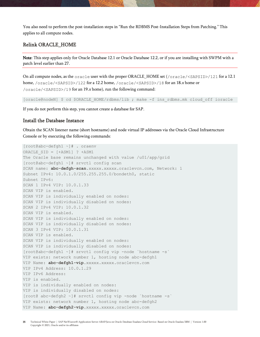You also need to perform the post-installation steps in "[Run the RDBMS Post-Installation Steps from Patching](#page-37-1)." This applies to all compute nodes.

#### <span id="page-34-0"></span>Relink ORACLE\_HOME

Note: This step applies only for Oracle Database 12.1 or Oracle Database 12.2, or if you are installing with SWPM with a patch level earlier than 27.

On all compute nodes, as the oracle user with the proper ORACLE\_HOME set (/oracle/<SAPSID>/121 for a 12.1 home, /oracle/<SAPSID>/122 for a 12.2 home, /oracle/<SAPSID>/18 for an 18.<sup>x</sup> home or /oracle/<SAPSID>/19 for an 19.<sup>x</sup> home), run the following command:

[oracle@nodeN] \$ cd \$ORACLE\_HOME/rdbms/lib ; make -f ins\_rdbms.mk cloud\_off ioracle

If you do not perform this step, you cannot create a database for SAP.

#### <span id="page-34-1"></span>Install the Database Instance

Obtain the SCAN listener name (short hostname) and node virtual IP addresses via the Oracle Cloud Infrastructure Console or by executing the following commands:

```
[root@abc-defgh1 ~]# . oraenv
ORACLE_SID = [+ASM1] ? +ASM1
The Oracle base remains unchanged with value /u01/app/grid
[root@abc-defgh1 ~]# srvctl config scan
SCAN name: abc-defgh-scan.xxxxx.xxxxx.oraclevcn.com, Network: 1
Subnet IPv4: 10.0.1.0/255.255.255.0/bondeth0, static
Subnet IPv6:
SCAN 1 IPv4 VIP: 10.0.1.33
SCAN VIP is enabled.
SCAN VIP is individually enabled on nodes:
SCAN VIP is individually disabled on nodes:
SCAN 2 IPv4 VIP: 10.0.1.32
SCAN VIP is enabled.
SCAN VIP is individually enabled on nodes:
SCAN VIP is individually disabled on nodes:
SCAN 3 IPv4 VIP: 10.0.1.31
SCAN VIP is enabled.
SCAN VIP is individually enabled on nodes:
SCAN VIP is individually disabled on nodes:
[root@abc-defgh1 ~]# srvctl config vip -node `hostname -s`
VIP exists: network number 1, hosting node abc-defgh1
VIP Name: abc-defgh1-vip.xxxxx.xxxxx.oraclevcn.com
VIP IPv4 Address: 10.0.1.29
VIP IPv6 Address:
VIP is enabled.
VIP is individually enabled on nodes:
VIP is individually disabled on nodes:
[root@ abc-defgh2 ~]# srvctl config vip -node `hostname -s`
VIP exists: network number 1, hosting node abc-defgh2
VIP Name: abc-defgh2-vip.xxxxx.xxxxx.oraclevcn.com
```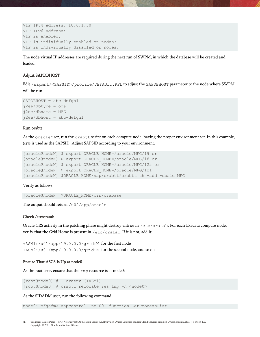```
VIP IPv4 Address: 10.0.1.30
VIP IPv6 Address:
VIP is enabled.
VIP is individually enabled on nodes:
VIP is individually disabled on nodes:
```
The node virtual IP addresses are required during the next run of SWPM, in which the database will be created and loaded.

#### Adjust SAPDBHOST

Edit /sapmnt/<SAPSID>/profile/DEFAULT.PFL to adjust the SAPDBHOST parameter to the node where SWPM will be run.

```
SAPDBHOST = abc-defgh1j2ee/dbtype = ora
j2ee/dbname = MFGj2ee/dbhost = abc-defgh1
```
#### Run orabtt

As the  $\alpha$  oracle user, run the  $\alpha$  rabtt script on each compute node, having the proper environment set. In this example, MFG is used as the SAPSID. Adjust SAPSID according to your environment.

```
[oracle@nodeN] $ export ORACLE_HOME=/oracle/MFG/19 or
[oracle@nodeN] $ export ORACLE_HOME=/oracle/MFG/18 or
[oracle@nodeN] $ export ORACLE_HOME=/oracle/MFG/122 or 
[oracle@nodeN] $ export ORACLE_HOME=/oracle/MFG/121
[oracle@nodeN] $ORACLE_HOME/sap/orabtt/orabtt.sh -add -dbsid MFG
```
Verify as follows:

[oracle@nodeN] \$ORACLE\_HOME/bin/orabase

The output should return  $/u02/app/oracle.$ 

#### Check /etc/oratab

Oracle CRS activity in the patching phase might destroy entries in /etc/oratab. For each Exadata compute node, verify that the Grid Home is present in /etc/oratab. If it is not, add it:

+ASM1:/u01/app/19.0.0.0/grid:N for the first node +ASM2:/u01/app/19.0.0.0/grid:N for the second node, and so on

#### Ensure That ASCS Is Up at node0

As the root user, ensure that the  $\text{tmp}$  resource is at node0:

[root@node0] # . oraenv [+ASM1] [root@node0] # crsctl relocate res tmp -n <node0>

As the SIDADM user, run the following command:

node0: mfgadm> sapcontrol –nr 00 –function GetProcessList

36 Technical White Paper | SAP NetWeaver® Application Server ABAP/Java on Oracle Database Exadata Cloud Service: Based on Oracle Exadata X8M | Version 1.00 Copyright © 2021, Oracle and/or its affiliates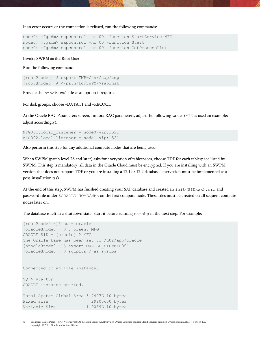If an error occurs or the connection is refused, run the following commands:

node0: mfgadm> sapcontrol –nr 00 –function StartService MFG node0: mfgadm> sapcontrol –nr 00 –function Start node0: mfgadm> sapcontrol –nr 00 –function GetProcessList

#### Invoke SWPM as the Root User

Run the following command:

[root@node0] # export TMP=/usr/sap/tmp [root@node0] # </path/to/SWPM/>sapinst

Provide the stack.xml file as an option if required.

For disk groups, choose +DATAC1 and +RECOC1.

At the Oracle RAC Parameters screen, Init.ora RAC parameters, adjust the following values (MFG is used an example; adjust accordingly):

```
MFG001.local_listener = node0-vip:1521 
MFG002.local_listener = node1-vip:1521
```
Also perform this step for any additional compute nodes that are being used.

When SWPM (patch level 28 and later) asks for encryption of tablespaces, choose TDE for each tablespace listed by SWPM. This step is mandatory; all data in the Oracle Cloud must be encrypted. If you are installing with an SWPM version that does not support TDE or you are installing a 12.1 or 12.2 database, encryption must be implemented as a post-installation task.

At the end of this step, SWPM has finished creating your SAP database and created an init<SIDxxx>.ora and password file under  $$ORACLE$  HOME/dbs on the first compute node. These files must be created on all sequent compute nodes later on.

The database is left in a shutdown state. Start it before running  $\text{catsbp}$  in the next step. For example:

```
[root@node0 ~]# su - oracle
[oracle@node0 ~]$ . oraenv MFG
ORACLE_SID = [oracle] ? MFG
The Oracle base has been set to /u02/app/oracle
[oracle@node0 ~]$ export ORACLE_SID=MFG001
[oracle@node0 ~]$ sqlplus / as sysdba
Connected to an idle instance.
SQL> startup
ORACLE instance started.
Total System Global Area 3.7407E+10 bytes
Fixed Size 29900600 bytes
Variable Size 1.9059E+10 bytes
```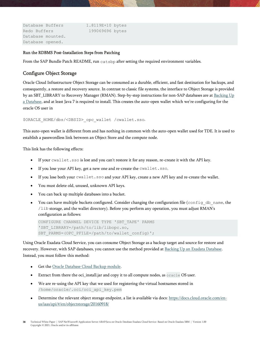```
Database Buffers 1.8119E+10 bytes
Redo Buffers 199069696 bytes
Database mounted.
Database opened.
```
#### <span id="page-37-1"></span>Run the RDBMS Post-Installation Steps from Patching

From the SAP Bundle Patch README, run  $\text{catsbp}$  after setting the required environment variables.

#### <span id="page-37-0"></span>Configure Object Storage

Oracle Cloud Infrastructure Object Storage can be consumed as a durable, efficient, and fast destination for backups, and consequently, a restore and recovery source. In contrast to classic file systems, the interface to Object Storage is provided by an SBT\_LIBRARY to Recovery Manager (RMAN). Step-by-step instructions for non-SAP databases are a[t Backing Up](https://docs.cloud.oracle.com/iaas/Content/Database/Tasks/backingup.htm)  [a Database,](https://docs.cloud.oracle.com/iaas/Content/Database/Tasks/backingup.htm) and at least Java 7 is required to install. This creates the auto-open wallet which we're configuring for the oracle OS user in

\$ORACLE\_HOME/dbs/<DBSID>\_opc\_wallet /cwallet.sso.

This auto-open wallet is different from and has nothing in common with the auto-open wallet used for TDE. It is used to establish a passwordless link between an Object Store and the compute node.

This link has the following effects:

- If your cwallet.sso is lost and you can't restore it for any reason, re-create it with the API key.
- If you lose your API key, get a new one and re-create the cwallet.sso.
- If you lose both your cwallet.sso and your API key, create a new API key and re-create the wallet.
- You must delete old, unused, unknown API keys.
- You can back up multiple databases into a bucket.
- You can have multiple buckets configured. Consider changing the configuration file (config\_db\_name, the /lib storage, and the wallet directory). Before you perform any operation, you must adjust RMAN's configuration as follows:

```
CONFIGURE CHANNEL DEVICE TYPE 'SBT_TAPE' PARMS 
'SBT_LIBRARY=/path/to/lib/libopc.so,
SBT_PARMS=(OPC_PFILE=/path/to/wallet_config)';
```
Using Oracle Exadata Cloud Service, you can consume Object Storage as a backup target and source for restore and recovery. However, with SAP databases, you cannot use the method provided a[t Backing Up an Exadata Database.](https://docs.us-phoenix-1.oraclecloud.com/Content/Database/Tasks/exabackingup.htm) Instead, you must follow this method:

- Get the [Oracle Database Cloud Backup module.](https://www.oracle.com/database/technologies/oracle-cloud-backup-downloads.html)
- Extract from there the oci\_install.jar and copy it to all compute nodes, as oracle OS user.
- We are re-using the API key that we used for registering the virtual hostnames stored in /home/oracle/.oci/oci\_api\_key.pem
- Determine the relevant object storage endpoint, a list is available via docs[: https://docs.cloud.oracle.com/en](https://docs.cloud.oracle.com/en-us/iaas/api/#/en/objectstorage/20160918/)[us/iaas/api/#/en/objectstorage/20160918/](https://docs.cloud.oracle.com/en-us/iaas/api/#/en/objectstorage/20160918/)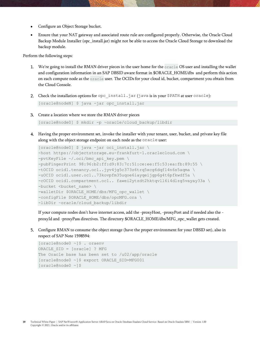- Configure an Object Storage bucket.
- Ensure that your NAT gateway and associated route rule are configured properly. Otherwise, the Oracle Cloud Backup Module Installer (opc\_install.jar) might not be able to access the Oracle Cloud Storage to download the backup module.

Perform the following steps:

- 1. We're going to install the RMAN driver pieces in the user home for the oracle OS user and installing the wallet and configuration information in an SAP DBSID aware format in \$ORACLE\_HOME/dbs and perform this action on each compute node as the oracle user. The OCIDs for your cloud id, bucket, compartment you obtain from the Cloud Console.
- 2. Check the installation options for opc install.jar (java is in your \$PATH at user oracle):

[oracle@nodeN] \$ java -jar opc\_install.jar

Create a location where we store the RMAN driver pieces

```
[oracle@node0] $ mkdir -p ~oracle/cloud_backup/libdir
```
Having the proper environment set, invoke the installer with your tenant, user, bucket, and private key file along with the object storage endpoint on each node as the oracle user:

```
[oracle@node0] $ java -jar oci_install.jar \
-host https://objectstorage.eu-frankfurt-1.oraclecloud.com \
-pvtKeyFile ~/.oci/bmc api key.pem \
-pubFingerPrint 98:96:b2:ff:d9:83:7c:51:ce:ee:f5:53:ea:fb:89:55 \
-tOCID ocid1.tenancy.oc1..jyv4jg5c373z6trq5xcg6dqfl4n6s5aqma \
-uOCID ocid1.user.oc1..73kovpfm35uqoe6iayqeijgp6g4t6pfkwdf5a \
-cOCID ocid1.compartment.oc1.. fawei2ytzdt2hktqvll6i4dlzg5vayay33a \
-bucket <br/> <br/> <br/>Aucket name> \
-walletDir $ORACLE HOME/dbs/MFG opc wallet \
-configFile $ORACLE HOME/dbs/opcMFG.ora \
-libDir ~oracle/cloud backup/libdir
```
If your compute nodes don't have internet access, add the -proxyHost, -proxyPort and if needed also the proxyId and -proxyPass directives. The directory \$ORACLE\_HOME/dbs/MFG\_opc\_wallet gets created.

Configure RMAN to consume the object storage (have the proper environment for your DBSID set), also in respect of SAP Note 1598594:

```
[oracle@node0 ~]$ . oraenv
ORACLE_SID = [oracle] ? MFG
The Oracle base has been set to /u02/app/oracle
[oracle@node0 ~]$ export ORACLE_SID=MFG001
[oracle@node0 ~]$
```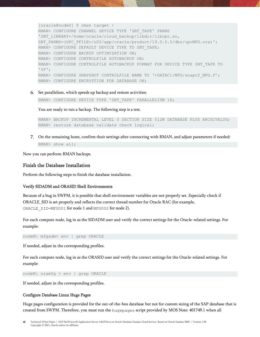```
[oracle@node0] $ rman target / 
RMAN> CONFIGURE CHANNEL DEVICE TYPE 'SBT_TAPE' PARMS 
'SBT_LIBRARY=/home/oracle/cloud_backup/libdir/libopc.so, 
SBT_PARMS=(OPC_PFILE=/u02/app/oracle/product/19.0.0.0/dbs/opcMFG.ora)';
RMAN> CONFIGURE DEFAULT DEVICE TYPE TO SBT_TAPE;
RMAN> CONFIGURE BACKUP OPTIMIZATION ON;
RMAN> CONFIGURE CONTROLFILE AUTOBACKUP ON;
RMAN> CONFIGURE CONTROLFILE AUTOBACKUP FORMAT FOR DEVICE TYPE SBT_TAPE TO 
'%F';
RMAN> CONFIGURE SNAPSHOT CONTROLFILE NAME TO '+DATAC1/MFG/snapcf MFG.f';
RMAN> CONFIGURE ENCRYPTION FOR DATABASE ON;
```
Set parallelism, which speeds up backup and restore activities:

RMAN> CONFIGURE DEVICE TYPE 'SBT TAPE' PARALLELISM 16;

You are ready to run a backup. The following step is a test.

RMAN> BACKUP INCREMENTAL LEVEL 0 SECTION SIZE 512M DATABASE PLUS ARCHIVELOG; RMAN> restore database validate check logical;

On the remaining hosts, confirm their settings after connecting with RMAN, and adjust parameters if needed: RMAN> show all;

Now you can perform RMAN backups.

#### <span id="page-39-0"></span>Finish the Database Installation

Perform the following steps to finish the database installation.

#### Verify SIDADM and ORASID Shell Environments

Because of a bug in SWPM, it is possible that shell environment variables are not properly set. Especially check if ORACLE\_SID is set properly and reflects the correct thread number for Oracle RAC (for example, ORACLE SID=MFG001 for node 1 and MFG002 for node 2).

For each compute node, log in as the SIDADM user and verify the correct settings for the Oracle-related settings. For example:

nodeN: mfgadm> env | grep ORACLE

If needed, adjust in the corresponding profiles.

For each compute node, log in as the ORASID user and verify the correct settings for the Oracle-related settings. For example:

nodeN: oramfg > env | grep ORACLE

If needed, adjust in the corresponding profiles.

#### Configure Database Linux Huge Pages

Huge pages configuration is provided for the out-of-the-box database but not for custom sizing of the SAP database that is created from SWPM. Therefore, you must run the hugepages script provided by MOS Note: 401749.1 when all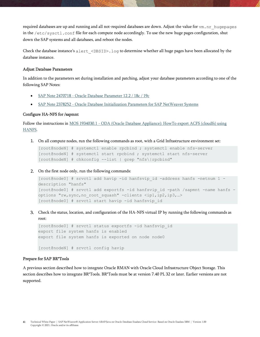required databases are up and running and all not-required databases are down. Adjust the value for vm.nr\_hugepages in the /etc/sysctl.conf file for each compute node accordingly. To use the new huge pages configuration, shut down the SAP systems and all databases, and reboot the nodes.

Check the database instance's alert <DBSID>.log to determine whether all huge pages have been allocated by the database instance.

#### Adjust Database Parameters

In addition to the parameters set during installation and patching, adjust your database parameters according to one of the following SAP Notes:

- SAP Note 2470718 [Oracle Database Parameter 12.2 / 18c / 19c](https://launchpad.support.sap.com/#/notes/2470718)
- SAP Note 2378252 [Oracle Database Initialization Parameters for SAP NetWeaver Systems](https://launchpad.support.sap.com/#/notes/2378252)

#### Configure HA-NFS for /sapmnt

Follow the instructions in MOS 1934030.1 - [ODA \(Oracle Database Appliance\): HowTo export ACFS \(cloudfs\) using](https://support.oracle.com/knowledge/Oracle%20Database%20Products/1934030_1.html)  [HANFS.](https://support.oracle.com/knowledge/Oracle%20Database%20Products/1934030_1.html)

1. On all compute nodes, run the following commands as root, with a Grid Infrastructure environment set:

[root@nodeN] # systemctl enable rpcbind ; systemctl enable nfs-server [root@nodeN] # systemctl start rpcbind ; systemctl start nfs-server [root@nodeN] # chkconfig --list | grep "nfs\|rpcbind"

On the first node only, run the following commands:

```
[root@node0] # srvctl add havip -id hanfsvip_id -address hanfs -netnum 1 -
description "hanfs"
[root@node0] # srvctl add exportfs -id hanfsvip_id -path /sapmnt -name hanfs -
options "rw,sync,no_root_squash" -clients <ip1,ip2,ip3,…>
[root@node0] # srvctl start havip -id hanfsvip_id
```
Check the status, location, and configuration of the HA-NFS virtual IP by running the following commands as root:

```
[root@node0] # srvctl status exportfs -id hanfsvip_id
export file system hanfs is enabled
export file system hanfs is exported on node node0
[root@nodeN] # srvctl config havip
```
#### Prepare for SAP BR\*Tools

A previous section described how to integrate Oracle RMAN with Oracle Cloud Infrastructure Object Storage. This section describes how to integrate BR\*Tools. BR\*Tools must be at version 7.40 PL 32 or later. Earlier versions are not supported.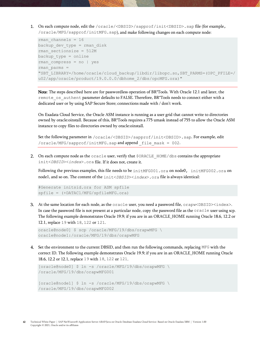1. On each compute node, edit the /oracle/<DBSID>/sapprof/init<DBSID>.sap file (for example, /oracle/MFG/sapprof/initMFG.sap), and make following changes on each compute node:

```
rman_channels = 16
backup dev type = rman disk
rman_sectionsize = 512M
backup_type = online
rman compress = no | yes
rman_parms = 
"SBT_LIBRARY=/home/oracle/cloud_backup/libdir/libopc.so,SBT_PARMS=(OPC_PFILE=/
u02/app/oracle/product/19.0.0.0/dbhome_2/dbs/opcMFG.ora)"
```
Note: The steps described here are for passwordless operation of BR\*Tools. With Oracle 12.1 and later, the remote os authent parameter defaults to FALSE. Therefore, BR\*Tools needs to connect either with a dedicated user or by using SAP Secure Store; connections made with / don't work.

On Exadata Cloud Service, the Oracle ASM instance is running as a user grid that cannot write to directories owned by oracle:oinstall. Because of this, BR\*Tools requires a 775 umask instead of 755 to allow the Oracle ASM instance to copy files to directories owned by oracle:oinstall.

Set the following parameter in /oracle/<DBSID>/sapprof/init<DBSID>.sap. For example, edit /oracle/MFG/sapprof/initMFG.sap and append \_file\_mask = 002.

2. On each compute node as the oracle user, verify that \$ORACLE\_HOME/dbs contains the appropriate init<*DBSID*><*index*>.ora file. If it does not, create it.

Following the previous examples, this file needs to be initMFG001.ora on node0, initMFG002.ora on node1, and so on. The content of the init<*DBSID*><*index*>.ora file is always identical:

```
#Generate initsid.ora for ASM spfile
spfile = (+DATAC1/MFG/spfileMFG.ora)
```
At the same location for each node, as the oracle user, you need a password file, orapw<DBSID><index>. In case the password file is not present at a particular node, copy the password file as the oracle user using scp. The following example demonstrates Oracle 19.9; if you are in an ORACLE\_HOME running Oracle 18.6, 12.2 or 12.1, replace 19 with 18, 122 or 121.

```
oracle@node0] $ scp /oracle/MFG/19/dbs/orapwMFG \
oracle@node1:/oracle/MFG/19/dbs/orapwMFG
```
Set the environment to the current DBSID, and then run the following commands, replacing MFG with the correct ID. The following example demonstrates Oracle 19.9; if you are in an ORACLE\_HOME running Oracle 18.6, 12.2 or 12.1, replace 19 with 18, 122 or 121.

```
[oracle@node0] $ ln -s /oracle/MFG/19/dbs/orapwMFG \
/oracle/MFG/19/dbs/orapwMFG001
[oracle@node1] $ ln -s /oracle/MFG/19/dbs/orapwMFG \
/oracle/MFG/19/dbs/orapwMFG002
```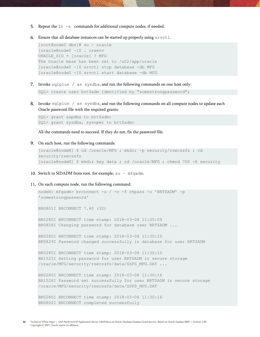- 5. Repeat the  $ln -s$  commands for additional compute nodes, if needed.
- Ensure that all database instances can be started up properly using srvctl.

```
[root@node0 dbs]# su - oracle
[oracle@node0 ~]$ . oraenv
ORACLE_SID = [oracle] ? MFG
The Oracle base has been set to /u02/app/oracle
[oracle@node0 ~]$ srvctl stop database -db MFG
[oracle@node0 ~]$ srvctl start database -db MFG
```
7. Invoke sqlplus  $/$  as sysdba, and run the following commands on one host only:

```
SQL> create user brt$adm identified by "somestrongpassword";
```
8. Invoke sqlplus / as sysdba, and run the following commands on all compute nodes to update each Oracle password file with the required grants:

```
SQL> grant sapdba to brt$adm;
SQL> grant sysdba, sysoper to brt$adm;
```
All the commands need to succeed. If they do not, fix the password file.

On each host, run the following commands:

```
[oracle@nodeN] $ cd /oracle/MFG ; mkdir -p security/rsecssfs ; cd 
security/rsecssfs
[oracle@nodeN] $ mkdir key data ; cd /oracle/MFG ; chmod 700 -R security
```
- 10. Switch to SIDADM from root, for example, su mfgadm.
- 11. On each compute node, run the following command:

```
nodeN: mfgadm> brconnect -u / -c -f chpass -o 'BRT$ADM' -p 
'somestrongpassword'
BR0801I BRCONNECT 7.40 (32)
BR0280I BRCONNECT time stamp: 2018-03-08 11:30:09
BR0828I Changing password for database user BRT$ADM ...
BR0280I BRCONNECT time stamp: 2018-03-08 11:30:10
BR0829I Password changed successfully in database for user BRT$ADM
BR0280I BRCONNECT time stamp: 2018-03-08 11:30:10
BR1525I Setting password for user BRT$ADM in secure storage 
/oracle/MFG/security/rsecssfs/data/SSFS_MFG.DAT ...
BR0280I BRCONNECT time stamp: 2018-03-08 11:30:16
BR1526I Password set successfully for user BRT$ADM in secure storage 
/oracle/MFG/security/rsecssfs/data/SSFS_MFG.DAT
BR0280I BRCONNECT time stamp: 2018-03-08 11:30:16
BR0802I BRCONNECT completed successfully
```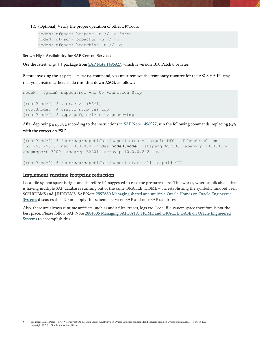(Optional) Verify the proper operation of other BR\*Tools:

```
nodeN: mfgadm> brspace -u // -c force
nodeN: mfgadm> brbackup -u // -q
nodeN: mfgadm> brarchive -u // -q
```
#### Set Up High Availability for SAP Central Services

Use the latest sapctl package from [SAP Note 1496927,](https://launchpad.support.sap.com/#/notes/1496927) which is version 10.0 Patch 0 or later.

Before invoking the sapctl create command, you must remove the temporary resource for the ASCS HA IP, tmp, that you created earlier. To do this, shut down ASCS, as follows:

```
nodeN: mfgadm> sapcontrol -nr 00 -function Stop
[root@node0] # . oraenv [+ASM1]
[root@node0] # crsctl stop res tmp
[root@node0] # appvipcfg delete -vipname=tmp
```
After deploying sapctl according to the instructions i[n SAP Note 1496927,](https://launchpad.support.sap.com/#/notes/1496927) run the following commands, replacing MFG with the correct SAPSID:

```
[root@node0] # /usr/sap/sapctl/bin/sapctl create -sapsid MFG -if bondeth0 -nm 
255.255.255.0 -net 10.0.0.0 -nodes node0,node1 -abapenq ASCS00 -abapvip 10.0.0.241 -
abapmsport 3900 -abaprep ERS01 -aersvip 10.0.0.242 -nx 1
```
<span id="page-43-0"></span>[root@node0] # /usr/sap/sapctl/bin/sapctl start all -sapsid MFG

## Implement runtime footprint reduction

Local file system space is tight and therefore it's suggested to ease the pressure there. This works, where applicable – that is having multiple SAP databases running out of the same ORACLE\_HOME – via establishing the symbolic link between \$OHRDBMS and \$IHRDBMS. SAP Note [2992680 Managing shared and multiple Oracle Homes on Oracle Engineered](https://launchpad.support.sap.com/#/notes/2992680)  [Systems](https://launchpad.support.sap.com/#/notes/2992680) discusses this. Do not apply this scheme between SAP and non-SAP databases.

Also, there are always runtime artifacts, such as audit files, traces, logs etc. Local file system space therefore is not the best place. Please follow SAP Note [2884306 Managing SAPDATA\\_HOME and ORACLE\\_BASE on Oracle Engineered](https://launchpad.support.sap.com/#/notes/2884306)  [Systems](https://launchpad.support.sap.com/#/notes/2884306) to accomplish this.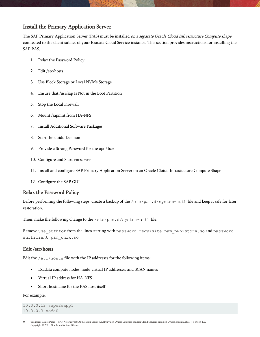## <span id="page-44-0"></span>Install the Primary Application Server

The SAP Primary Application Server (PAS) must be installed on a separate Oracle Cloud Infrastructure Compute shape connected to the client subnet of your Exadata Cloud Service instance. This section provides instructions for installing the SAP PAS.

- 1. [Relax the Password](#page-44-1) Policy
- 2. [Edit /etc/hosts](#page-44-2)
- 3. [Use Block Storage or Local NVMe Storage](#page-45-0)
- 4. [Ensure that /usr/sap Is Not in the Boot Partition](#page-45-1)
- 5. [Stop the Local Firewall](#page-45-2)
- 6. [Mount /sapmnt from HA-NFS](#page-45-3)
- 7. [Install Additional Software Packages](#page-45-4)
- 8. [Start the uuidd Daemon](#page-46-0)
- 9. Provide a Strong [Password for the opc User](#page-46-1)
- 10. [Configure and Start vncserver](#page-46-2)
- 11. [Install and configure SAP Primary Application Server](#page-46-3) on an Oracle Cloiud Infrastucture Compute Shape
- 12. [Configure the SAP GUI](#page-47-0)

### <span id="page-44-1"></span>Relax the Password Policy

Before performing the following steps, create a backup of the /etc/pam.d/system-auth file and keep it safe for later restoration.

Then, make the following change to the /etc/pam.d/system-auth file:

Remove use authtok from the lines starting with password requisite pam\_pwhistory.so and password sufficient pam\_unix.so.

### <span id="page-44-2"></span>Edit /etc/hosts

Edit the /etc/hosts file with the IP addresses for the following items:

- Exadata compute nodes, node virtual IP addresses, and SCAN names
- Virtual IP address for HA-NFS
- Short hostname for the PAS host itself

#### For example:

10.0.0.12 sape2eapp1 10.0.0.3 node0

45 Technical White Paper | SAP NetWeaver® Application Server ABAP/Java on Oracle Database Exadata Cloud Service: Based on Oracle Exadata X8M | Version 1.00 Copyright © 2021, Oracle and/or its affiliates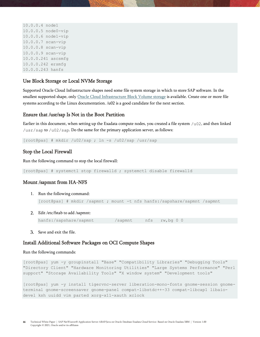```
10.0.0.4 node1
10.0.0.5 node0-vip
10.0.0.6 node1-vip
10.0.0.7 scan-vip
10.0.0.8 scan-vip
10.0.0.9 scan-vip
10.0.0.241 ascsmfg
10.0.0.242 ersmfg
10.0.0.243 hanfs
```
#### <span id="page-45-0"></span>Use Block Storage or Local NVMe Storage

Supported Oracle Cloud Infrastructure shapes need some file system storage in which to store SAP software. In the smallest supported shape, only [Oracle Cloud Infrastructure](https://docs.cloud.oracle.com/iaas/Content/Block/Concepts/overview.htm) Block Volume storage is available. Create one or more file systems according to the Linux documentation. /u02 is a good candidate for the next section.

#### <span id="page-45-1"></span>Ensure that /usr/sap Is Not in the Boot Partition

Earlier in this document, when setting up the Exadata compute nodes, you created a file system /u02, and then linked /usr/sap to /u02/sap. Do the same for the primary application server, as follows:

<span id="page-45-2"></span>[root@pas] # mkdir /u02/sap ; ln -s /u02/sap /usr/sap

#### Stop the Local Firewall

Run the following command to stop the local firewall:

<span id="page-45-3"></span>[root@pas] # systemctl stop firewalld ; systemctl disable firewalld

#### Mount /sapmnt from HA-NFS

- 1. Run the following command: [root@pas] # mkdir /sapmnt ; mount -t nfs hanfs:/sapshare/sapmnt /sapmnt
- Edit /etc/fstab to add /sapmnt:

```
hanfs:/sapshare/sapmnt /sapmnt nfs rw,bq 0 0
```
Save and exit the file.

#### <span id="page-45-4"></span>Install Additional Software Packages on OCI Compute Shapes

#### Run the following commands:

[root@pas] yum -y groupinstall "Base" "Compatibility Libraries" "Debugging Tools" "Directory Client" "Hardware Monitoring Utilities" "Large Systems Performance" "Perl support" "Storage Availability Tools" "X window system" "Development tools"

[root@pas] yum -y install tigervnc-server liberation-mono-fonts gnome-session gnometerminal gnome-screensaver gnome-panel compat-libstdc++-33 compat-libcap1 libaiodevel ksh uuidd vim parted xorg-x11-xauth xclock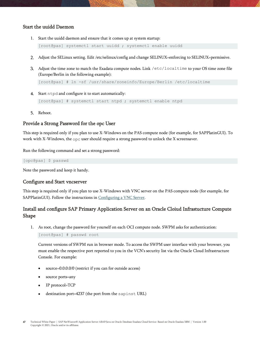#### <span id="page-46-0"></span>Start the uuidd Daemon

1. Start the uuidd daemon and ensure that it comes up at system startup:

[\[root@pas\]](mailto:root@pas) systemctl start uuidd ; systemctl enable uuidd

- Adjust the SELinux setting. Edit /etc/selinux/config and change SELINUX=enforcing to SELINUX=permissive.
- Adjust the time zone to match the Exadata compute nodes. Link /etc/localtime to your OS time zone file (Europe/Berlin in the following example):

[\[root@pas\]](mailto:root@pas) # ln -sf /usr/share/zoneinfo/Europe/Berlin /etc/localtime

4. Start ntpd and configure it to start automatically:

[\[root@pas\]](mailto:root@pas) # systemctl start ntpd ; systemctl enable ntpd

5. Reboot.

## <span id="page-46-1"></span>Provide a Strong Password for the opc User

This step is required only if you plan to use X-Windows on the PAS compute node (for example, for SAPPlatinGUI). To work with X-Windows, the  $\circ$ pc user should require a strong password to unlock the X screensaver.

Run the following command and set a strong password:

[opc@pas] \$ passwd

Note the password and keep it handy.

#### <span id="page-46-2"></span>Configure and Start vncserver

This step is required only if you plan to use X-Windows with VNC server on the PAS compute node (for example, for SAPPlatinGUI). Follow the instructions i[n Configuring a VNC Server.](https://docs.oracle.com/en/operating-systems/oracle-linux/7/network/ol7-vnc.html#ol7-vnc-about)

## <span id="page-46-3"></span>Install and configure SAP Primary Application Server on an Oracle Cloiud Infrastucture Compute Shape

1. As root, change the password for yourself on each OCI compute node. SWPM asks for authentication:

[root@pas] # passwd root

Current versions of SWPM run in browser mode. To access the SWPM user interface with your browser, you must enable the respective port reported to you in the VCN's security list via the Oracle Cloud Infrastructure Console. For example:

- source=0.0.0.0/0 (restrict if you can for outside access)
- source ports=any
- IP protocol=TCP
- destination port=4237 (the port from the sapinst URL)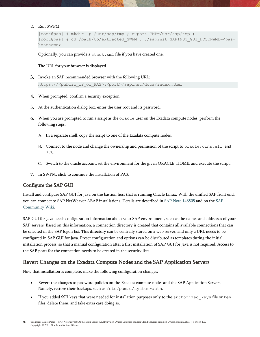2. Run SWPM:

```
[root@pas] # mkdir -p /usr/sap/tmp ; export TMP=/usr/sap/tmp ;
[root@pas] # cd /path/to/extracted SWPM ; ./sapinst SAPINST GUI HOSTNAME=<pas
hostname>
```
Optionally, you can provide a stack.xml file if you have created one.

The URL for your browser is displayed.

Invoke an SAP recommended browser with the following URL:

https://<public\_IP\_of\_PAS>:<port>/sapinst/docs/index.html

- When prompted, confirm a security exception.
- At the authentication dialog box, enter the user root and its password.
- When you are prompted to run a script as the oracle user on the Exadata compute nodes, perform the following steps:
	- A. In a separate shell, copy the script to one of the Exadata compute nodes.
	- B. Connect to the node and change the ownership and permission of the script to oracle: oinstall and 770.
	- C. Switch to the oracle account, set the environment for the given ORACLE\_HOME, and execute the script.
- In SWPM, click to continue the installation of PAS.

#### <span id="page-47-0"></span>Configure the SAP GUI

Install and configure SAP GUI for Java on the bastion host that is running Oracle Linux. With the unified SAP front end, you can connect to SAP NetWeaver ABAP installations. Details are described i[n SAP Note 146505](https://launchpad.support.sap.com/#/notes/146505) and on the SAP [Community Wiki.](https://scn.sap.com/docs/DOC-25456#section13)

SAP GUI for Java needs configuration information about your SAP environment, such as the names and addresses of your SAP servers. Based on this information, a connection directory is created that contains all available connections that can be selected in the SAP logon list. This directory can be centrally stored on a web server, and only a URL needs to be configured in SAP GUI for Java. Preset configuration and options can be distributed as templates during the initial installation process, so that a manual configuration after a first installation of SAP GUI for Java is not required. Access to the SAP ports for the connection needs to be created in the security lists.

### <span id="page-47-1"></span>Revert Changes on the Exadata Compute Nodes and the SAP Application Servers

Now that installation is complete, make the following configuration changes:

- Revert the changes to password policies on the Exadata compute nodes and the SAP Application Servers. Namely, restore their backups, such as /etc/pam.d/system-auth.
- If you added SSH keys that were needed for installation purposes only to the authorized keys file or key files, delete them, and take extra care doing so.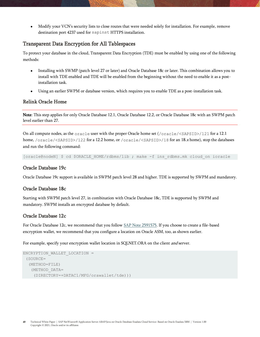• Modify your VCN's security lists to close routes that were needed solely for installation. For example, remove destination port 4237 used for sapinst HTTPS installation.

### <span id="page-48-0"></span>Transparent Data Encryption for All Tablespaces

To protect your database in the cloud, Transparent Data Encryption (TDE) must be enabled by using one of the following methods:

- Installing with SWMP (patch level 27 or later) and Oracle Database 18c or later. This combination allows you to install with TDE enabled and TDE will be enabled from the beginning without the need to enable it as a postinstallation task.
- Using an earlier SWPM or database version, which requires you to enable TDE as a post-installation task.

#### <span id="page-48-1"></span>Relink Oracle Home

Note: This step applies for only Oracle Database 12.1, Oracle Database 12.2, or Oracle Database 18c with an SWPM patch level earlier than 27.

On all compute nodes, as the oracle user with the proper Oracle home set (/oracle/<SAPSID>/121 for a 12.1 home, /oracle/<SAPSID>/122 for a 12.2 home, or /oracle/<SAPSID>/18 for an 18.<sup>x</sup> home), stop the databases and run the following command:

[oracle@nodeN] \$ cd \$ORACLE\_HOME/rdbms/lib ; make -f ins\_rdbms.mk cloud\_on ioracle

#### <span id="page-48-2"></span>Oracle Database 19c

Oracle Database 19c support is available in SWPM patch level 28 and higher. TDE is supported by SWPM and mandatory.

#### <span id="page-48-3"></span>Oracle Database 18c

Starting with SWPM patch level 27, in combination with Oracle Database 18c, TDE is supported by SWPM and mandatory. SWPM installs an encrypted database by default.

#### <span id="page-48-4"></span>Oracle Database 12c

For Oracle Database 12c, we recommend that you follow [SAP Note 2591575.](https://launchpad.support.sap.com/#/notes/2591575) If you choose to create a file-based encryption wallet, we recommend that you configure a location on Oracle ASM, too, as shown earlier.

For example, specify your encryption wallet location in SQLNET.ORA on the client *and* server.

```
ENCRYPTION WALLET LOCATION =
 (SOURCE=
   (METHOD=FILE)
    (METHOD_DATA=
     (DIRECTORY=+DATAC1/MFG/orawallet/tde)))
```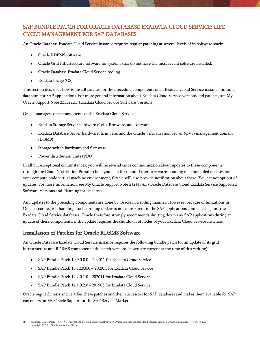## <span id="page-49-0"></span>SAP BUNDLE PATCH FOR ORACLE DATABASE EXADATA CLOUD SERVICE: LIFE CYCLE MANAGEMENT FOR SAP DATABASES

An Oracle Database Exadata Cloud Service instance requires regular patching at several levels of its software stack:

- Oracle RDBMS software
- Oracle Grid Infrastructure software for systems that do not have the most recent software installed.
- Oracle Database Exadata Cloud Service tooling
- Exadata Image (OS)

This section describes how to install patches for the preceding components of an Exadata Cloud Service instance running databases for SAP applications. For more general information about Exadata Cloud Service versions and patches, see My Oracle Support Note 2333222.1 (Exadata Cloud Service Software Versions).

Oracle manages some components of the Exadata Cloud Service:

- Exadata Storage Server hardware (Cell), firmware, and software
- Exadata Database Server hardware, firmware, and the Oracle Virtualization Server (OVS) management domain (DOM0)
- Storage switch hardware and firmware
- Power distribution units (PDU)

In all but exceptional circumstances, you will receive advance communication about updates to these components through the Cloud Notification Portal to help you plan for them. If there are corresponding recommended updates for your compute node virtual machine environment, Oracle will also provide notification about these. You cannot opt out of updates. For more information, see My Oracle Support Note 2124174.1 (Oracle Database Cloud Exadata Service Supported Software Versions and Planning for Updates).

Any updates to the preceding components are done by Oracle in a rolling manner. However, because of limitations in Oracle's connection handling, such a rolling update is not transparent to the SAP applications connected against the Exadata Cloud Service databases. Oracle therefore strongly recommends shutting down any SAP applications during an update of these components, if the update requires the shutdown of nodes of your Exadata Cloud Service instance.

## <span id="page-49-1"></span>Installation of Patches for Oracle RDBMS Software

An Oracle Database Exadata Cloud Service instance requires the following bundle patch for an update of its grid infrastructure and RDBMS components (the patch versions shown are current at the time of this writing):

- SAP Bundle Patch 19.9.0.0.0 202011 for Exadata Cloud Service
- SAP Bundle Patch 18.12.0.0.0 202011 for Exadata Cloud Service
- SAP Bundle Patch 12.2.0.1.0 202011 for Exadata Cloud Service
- SAP Bundle Patch 12.1.0.2.0 201905 for Exadata Cloud Service

Oracle regularly tests and certifies these patches and their successors for SAP databases and makes them available for SAP customers on My Oracle Support or the SAP Service Marketplace.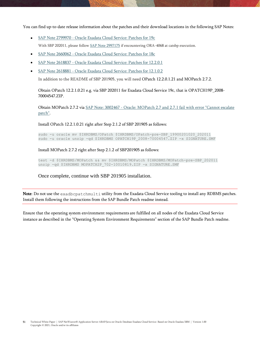You can find up-to-date release information about the patches and their download locations in the following SAP Notes:

- SAP Note 2799970 [Oracle Exadata Cloud Service: Patches for 19c](https://launchpad.support.sap.com/#/notes/2799970) With SBP 202011, please follow [SAP Note 2997175](https://launchpad.support.sap.com/#/notes/2997175) if encountering ORA-4068 at catsbp execution.
- SAP Note 2660062 [Oracle Exadata Cloud Service: Patches for 18c](https://launchpad.support.sap.com/#/notes/2660062)
- SAP Note 2618837 [Oracle Exadata Cloud Service: Patches for 12.2.0.1](https://launchpad.support.sap.com/#/notes/2618837)
- SAP Note 2618881 [Oracle Exadata Cloud Service: Patches for 12.1.0.2](https://launchpad.support.sap.com/#/notes/2618881)

In addition to the README of SBP 201905, you will need OPatch 12.2.0.1.21 and MOPatch 2.7.2.

Obtain OPatch 12.2.1.0.21 e.g. via SBP 202011 for Exadata Cloud Service 19c, that is OPATCH19P\_2008- 70004547.ZIP.

Obtain MOPatch 2.7.2 via SAP Note: 3002467 - [Oracle: MOPatch 2.7 and 2.7.1 fail with error "Cannot escalate](https://launchpad.support.sap.com/#/notes/3002467)  [patch".](https://launchpad.support.sap.com/#/notes/3002467)

Install OPatch 12.2.1.0.21 right after Step 2.1.2 of SBP 201905 as follows:

sudo -u oracle mv \$IHRDBMS/OPatch \$IHRDBMS/OPatch-pre-SBP\_19900201020\_202011 sudo -u oracle unzip -qd \$IHRDBMS OPATCH19P 2008-70004547.ZIP -x SIGNATURE.SMF

Install MOPatch 2.7.2 right after Step 2.1.2 of SBP201905 as follows:

test -d \$IHRDBMS/MOPatch && mv \$IHRDBMS/MOPatch \$IHRDBMS/MOPatch-pre-SBP\_202011 unzip -qd \$IHRDBMS MOPATCH2P 702-10010819.ZIP -x SIGNATURE.SMF

Once complete, continue with SBP 201905 installation.

Note: Do not use the exadbcpatchmulti utility from the Exadata Cloud Service tooling to install any RDBMS patches. Install them following the instructions from the SAP Bundle Patch readme instead.

Ensure that the operating system environment requirements are fulfilled on all nodes of the Exadata Cloud Service instance as described in the "Operating System Environment Requirements" section of the SAP Bundle Patch readme.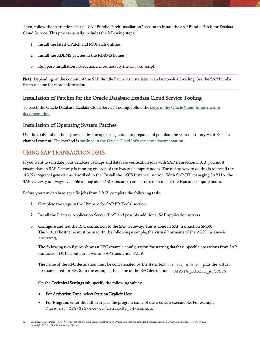Then, follow the instructions in the "SAP Bundle Patch Installation" section to install the SAP Bundle Patch for Exadata Cloud Service. This process usually includes the following steps:

- 1. Install the latest OPatch and MOPatch utilities.
- 2. Install the RDBMS patches in the RDBMS homes.
- 3. Run post-installation instructions, most notably the catsbp script.

Note: Depending on the content of the SAP Bundle Patch, its installation can be non-RAC-rolling. See the SAP Bundle Patch readme for more information.

## <span id="page-51-0"></span>Installation of Patches for the Oracle Database Exadata Cloud Service Tooling

To patch the Oracle Database Exadata Cloud Service Tooling, follow the [steps in the Oracle Cloud Infrastructure](https://docs.cloud.oracle.com/iaas/Content/Database/Tasks/exatooling.htm#UpdatingToolingonanExadataDBSystem)  [documentation.](https://docs.cloud.oracle.com/iaas/Content/Database/Tasks/exatooling.htm#UpdatingToolingonanExadataDBSystem)

## <span id="page-51-1"></span>Installation of Operating System Patches

Use the tools and methods provided by the operating system to prepare and populate the yum repository with Exadata channel content. The method is [outlined in the Oracle Cloud Infrastructure documentation.](https://docs.cloud.oracle.com/iaas/Content/Database/Tasks/exatooling.htm#OSUpdates)

## <span id="page-51-2"></span>USING SAP TRANSACTION DB13

If you want to schedule your database backups and database verification jobs with SAP transaction DB13, you must ensure that an SAP Gateway is running on each of the Exadata compute nodes. The easiest way to do this is to install the ASCS integrated gateway, as described in the "Install the ASCS Instance" section. With SAPCTL managing SAP HA, the SAP Gateway is always available as long as an ASCS instance can be started on one of the Exadata compute nodes.

Before you run database-specific jobs from DB13, complete the following tasks:

- 1. Complete the steps in the "Prepare for SAP BR\*Tools" section.
- 2. Install the Primary Application Server (PAS) and possibly additional SAP application servers.
- 3. Configure and test the RFC connection to the SAP Gateway. This is done in SAP transaction SM59. The virtual hostname must be used. In the following example, the virtual hostname of the ASCS instance is ascsmfg.

The following two figures show an RFC example configuration for starting database-specific operations from SAP transaction DB13, configured within SAP transaction SM59.

The name of the RFC destination must be concatenated by the static text SAPXPG\_DBDEST\_ plus the virtual hostname used for ASCS. In the example, the name of the RFC destination is SAPXPG DBDEST ASCSMFG.

On the Technical Settings tab, specify the following values:

- For Activation Type, select Start on Explicit Host.
- For Program, enter the full path plus the program name of the sapxpg executable. For example, /use/sap/MFG/SYS/exe/uc/linuxx86\_64/sapxpg.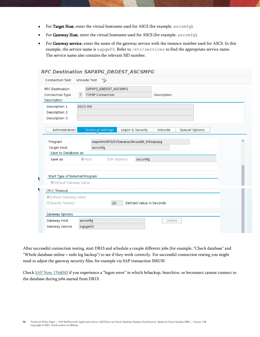- For Target Host, enter the virtual hostname used for ASCS (for example, ascsmfg).
- For Gateway Host, enter the virtual hostname used for ASCS (for example, ascsmfg).
- For Gateway service, enter the name of the gateway service with the instance number used for ASCS. In this example, the service name is sapgw00. Refer to /etc/services to find the appropriate service name. The service name also contains the relevant SID number.

| <b>Connection Test</b>             | $\frac{1}{2}$<br>Unicode Test |                             |                        |  |
|------------------------------------|-------------------------------|-----------------------------|------------------------|--|
| <b>RFC Destination</b>             | SAPXPG_DBDEST_ASCSMFG         |                             |                        |  |
| Connection Type                    | <b>TCP/IP Connection</b><br>T | Description                 |                        |  |
| Description                        |                               |                             |                        |  |
| Description 1                      | ASCS-GW                       |                             |                        |  |
| Description 2                      |                               |                             |                        |  |
| Description 3                      |                               |                             |                        |  |
|                                    |                               |                             |                        |  |
| Administration                     | <b>Technical Settings</b>     | Logon & Security<br>Unicode | <b>Special Options</b> |  |
| Target Host<br>Save to Database as | ascsmfg                       |                             |                        |  |
| Save as                            | OIP Address<br>$\odot$ Host   | ascsmfg                     |                        |  |
| Start Type of External Program     |                               |                             |                        |  |
| <b>O</b> Default Gateway Value     |                               |                             |                        |  |
| CPI-C Timeout                      |                               |                             |                        |  |
|                                    |                               |                             |                        |  |
| <b>ODefault Gateway Value</b>      |                               |                             |                        |  |
| Specify Timeout                    | 20                            | Defined Value in Seconds    |                        |  |
|                                    |                               |                             |                        |  |
| Gateway Options                    |                               |                             |                        |  |
| Gateway Host                       | ascsmfg                       |                             | Delete                 |  |

After successful connection testing, start DB13 and schedule a couple different jobs (for example, "Check database" and "Whole database online + redo log backup") to see if they work correctly. For successful connection testing you might need to adjust the gateway security files, for example via SAP transaction SMGW.

Chec[k SAP Note 1764043](https://launchpad.support.sap.com/#/notes/1764043) if you experience a "logon error" in which brbackup, brarchive, or brconnect cannot connect to the database during jobs started from DB13.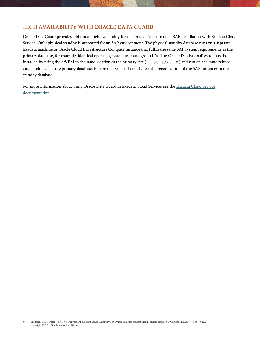## <span id="page-53-0"></span>HIGH AVAILABILITY WITH ORACLE DATA GUARD

Oracle Data Guard provides additional high availability for the Oracle Database of an SAP installation with Exadata Cloud Service. Only physical standby is supported for an SAP environment. The physical standby database runs on a separate Exadata machine or Oracle Cloud Infrastructure Compute instance that fulfils the same SAP system requirements as the primary database, for example, identical operating system user and group IDs. The Oracle Database software must be installed by using the SWPM to the same location as the primary site (/oracle/<*SID*>) and run on the same release and patch level as the primary database. Ensure that you sufficiently test the reconnection of the SAP instances to the standby database.

For more information about using Oracle Data Guard in Exadata Cloud Service, see the Exadata Cloud Service [documentation.](https://docs.oracle.com/en/cloud/paas/exadata-cloud/csexa/use-data-guard-this-service.html#GUID-FB63CBB2-74E1-4FD6-AFFA-4F902008223C)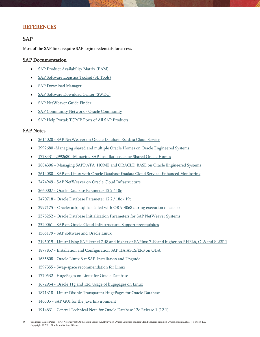## <span id="page-54-0"></span>REFERENCES

## <span id="page-54-1"></span>SAP

Most of the SAP links require SAP login credentials for access.

#### <span id="page-54-2"></span>SAP Documentation

- [SAP Product Availability Matrix \(PAM\)](https://apps.support.sap.com/sap/support/pam)
- [SAP Software Logistics Toolset \(SL Tools\)](https://support.sap.com/en/tools/software-logistics-tools.html)
- [SAP Download Manager](https://support.sap.com/content/dam/support/en_us/library/ssp/my-support/help-for-sap-support-applications/online_help-download_manager.html)
- [SAP Software Download Center \(SWDC\)](https://support.sap.com/swdc)
- [SAP NetWeaver Guide Finder](https://cp.hana.ondemand.com/dps/d/preview/ec5624d5073d4c949b42bf284742748d/1.0/en-US/frameset.htm?576f5c1808de4d1abecbd6e503c9ba42.html)
- [SAP Community Network -](https://www.sap.com/community/topic/oracle.html) Oracle Community
- [SAP Help Portal: TCP/IP Ports of All SAP Products](https://help.sap.com/viewer/ports)

#### <span id="page-54-3"></span>SAP Notes

- 2614028 [SAP NetWeaver on Oracle Database Exadata Cloud Service](https://launchpad.support.sap.com/#/notes/2614028)
- 2992680 [-Managing](https://launchpad.support.sap.com/#/notes/2992680) shared and multiple Oracle Homes on Oracle Engineered Systems
- 1778431 -2992680 [-Managing](https://launchpad.support.sap.com/#/notes/2992680) SA[P Installations](https://launchpad.support.sap.com/#/notes/1778431) using Shared Oracle Homes
- 2884306 Managing SAPDATA\_HOME and [ORACLE\\_](https://launchpad.support.sap.com/#/notes/2884306)BASE on Oracle Engineered Systems
- 2614080 SAP on Linux with [Oracle Database Exadata Cloud Service:](https://launchpad.support.sap.com/#/notes/2614080) Enhanced Monitoring
- 2474949 [SAP NetWeaver on Oracle Cloud Infrastructure](https://launchpad.support.sap.com/#/notes/2474949)
- 2660007 [Oracle Database Parameter 12.2 / 18c](https://launchpad.support.sap.com/#/notes/2660007)
- 2470718 [Oracle Database Parameter 12.2 / 18c / 19c](https://launchpad.support.sap.com/#/notes/2470718)
- 2997175 Oracle: utlrp.sql has failed wit[h ORA-](https://launchpad.support.sap.com/#/notes/2997175)4068 during execution of catsbp
- 2378252 [Oracle Database Initialization Parameters for SAP NetWeaver Systems](https://launchpad.support.sap.com/#/notes/2378252)
- 2520061 [SAP on Oracle Cloud Infrastructure: Support prerequisites](https://launchpad.support.sap.com/#/notes/2520061)
- 1565179 [SAP software and Oracle Linux](https://launchpad.support.sap.com/#/notes/1565179)
- 2195019 [Linux: Using SAP kernel 7.48 and higher or SAPinst 7.49 and higher on RHEL6, OL6 and SLES11](https://launchpad.support.sap.com/#/notes/2195019)
- 1877857 [Installation and Configuration SAP HA ASCS/ERS on ODA](https://launchpad.support.sap.com/#/notes/1877857)
- 1635808 [Oracle Linux 6.x: SAP-Installation and Upgrade](https://launchpad.support.sap.com/#/notes/1635808)
- 1597355 [Swap-space recommendation for Linux](https://launchpad.support.sap.com/#/notes/1597355)
- 1770532 [HugePages on Linux for Oracle Database](https://launchpad.support.sap.com/#/notes/1770532)
- 1672954 [Oracle 11g and 12c: Usage of hugepages on Linux](https://launchpad.support.sap.com/#/notes/1672954)
- 1871318 [Linux: Disable Transparent HugePages for Oracle Database](https://launchpad.support.sap.com/#/notes/1871318)
- 146505 [SAP GUI for the Java Environment](https://launchpad.support.sap.com/#/notes/146505)
- 1914631 [Central Technical Note for Oracle Database 12c Release 1 \(12.1\)](https://launchpad.support.sap.com/#/notes/1914631)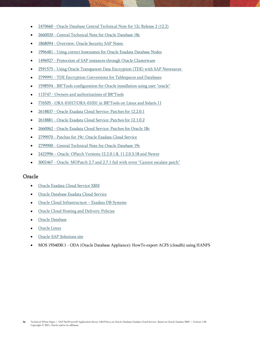- 2470660 [Oracle Database Central Technical Note for 12c Release 2 \(12.2\)](https://launchpad.support.sap.com/#/notes/2470660)
- 2660020 [Central Technical Note for Oracle Database 18c](https://launchpad.support.sap.com/#/notes/2660020)
- 1868094 [Overview: Oracle Security SAP Notes](https://launchpad.support.sap.com/#/notes/1868094)
- 1996481 [Using correct hostnames for Oracle Exadata Database Nodes](https://launchpad.support.sap.com/#/notes/1996481)
- 1496927 [Protection of SAP instances through Oracle Clusterware](https://launchpad.support.sap.com/#/notes/1496927)
- 2591575 [Using Oracle Transparent Data Encryption \(TDE\)](https://launchpad.support.sap.com/#/notes/2591575) with SAP Netweaver
- 2799991 [TDE Encryption Conversions for Tablespaces and Databases](https://launchpad.support.sap.com/#notes/2799991)
- 1598594 [BR\\*Tools configuration for Oracle installation using user "oracle"](https://launchpad.support.sap.com/#/notes/1598594)
- 113747 [Owners and authorizations of BR\\*Tools](https://launchpad.support.sap.com/#/notes/113747)
- 776505 [ORA-01017/ORA-01031 in BR\\*Tools on Linux and Solaris 11](https://launchpad.support.sap.com/#/notes/776505)
- 2618837 [Oracle Exadata Cloud Service: Patches for 12.2.0.1](https://launchpad.support.sap.com/#/notes/2618837)
- 2618881 [Oracle Exadata Cloud Service: Patches for 12.1.0.2](https://launchpad.support.sap.com/#/notes/2618881)
- [2660062 -](https://launchpad.support.sap.com/#/notes/2660062) [Oracle Exadata Cloud Service: Patches for Oracle 18c](https://launchpad.support.sap.com/#/notes/2660062)
- 2799970 [Patches for 19c: Oracle Exadata Cloud Service](https://launchpad.support.sap.com/#/notes/2799970)
- 2799900 [Central Technical Note for Oracle Database](https://launchpad.support.sap.com/#/notes/2799900) 19c
- 2422996 [Oracle: OPatch Versions 12.2.0.1.8, 11.2.0.3.18 and Newer](https://launchpad.support.sap.com/#/notes/2422996)
- 3002467 [Oracle: MOPatch 2.7 and 2.7.1 fail with error "Cannot escalate patch"](https://launchpad.support.sap.com/#/notes/3002467)

#### <span id="page-55-0"></span>Oracle

- [Oracle Exadata Cloud Service X8M](https://www.oracle.com/a/ocom/docs/oracle-database-exadata-cloud-service-ds.pdf)
- [Oracle Database Exadata Cloud Service](https://docs.oracle.com/en/cloud/paas/exadata-cloud/index.html)
- [Oracle Cloud Infrastructure](https://docs.us-phoenix-1.oraclecloud.com/Content/Database/Concepts/exaoverview.htm)  Exadata DB Systems
- [Oracle Cloud Hosting and Delivery Policies](http://www.oracle.com/us/corporate/contracts/ocloud-hosting-delivery-policies-3089853.pdf)
- [Oracle Database](http://docs.oracle.com/en/database/)
- [Oracle Linux](http://docs.oracle.com/en/operating-systems/linux.html)
- [Oracle-SAP Solutions site](http://www.oracle.com/us/solutions/sap/introduction/overview/index.html)
- MOS 1934030.1 ODA (Oracle Database Appliance): HowTo export ACFS (cloudfs) using HANFS